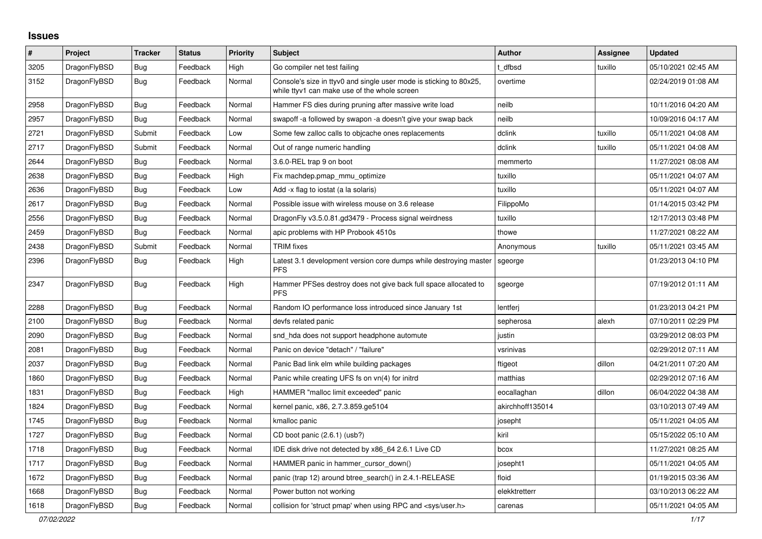## **Issues**

| $\#$ | Project      | <b>Tracker</b> | <b>Status</b> | <b>Priority</b> | <b>Subject</b>                                                                                                     | <b>Author</b>    | <b>Assignee</b> | <b>Updated</b>      |
|------|--------------|----------------|---------------|-----------------|--------------------------------------------------------------------------------------------------------------------|------------------|-----------------|---------------------|
| 3205 | DragonFlyBSD | <b>Bug</b>     | Feedback      | High            | Go compiler net test failing                                                                                       | t dfbsd          | tuxillo         | 05/10/2021 02:45 AM |
| 3152 | DragonFlyBSD | <b>Bug</b>     | Feedback      | Normal          | Console's size in ttyv0 and single user mode is sticking to 80x25,<br>while ttyv1 can make use of the whole screen | overtime         |                 | 02/24/2019 01:08 AM |
| 2958 | DragonFlyBSD | <b>Bug</b>     | Feedback      | Normal          | Hammer FS dies during pruning after massive write load                                                             | neilb            |                 | 10/11/2016 04:20 AM |
| 2957 | DragonFlyBSD | <b>Bug</b>     | Feedback      | Normal          | swapoff-a followed by swapon-a doesn't give your swap back                                                         | neilb            |                 | 10/09/2016 04:17 AM |
| 2721 | DragonFlyBSD | Submit         | Feedback      | Low             | Some few zalloc calls to objcache ones replacements                                                                | dclink           | tuxillo         | 05/11/2021 04:08 AM |
| 2717 | DragonFlyBSD | Submit         | Feedback      | Normal          | Out of range numeric handling                                                                                      | dclink           | tuxillo         | 05/11/2021 04:08 AM |
| 2644 | DragonFlyBSD | <b>Bug</b>     | Feedback      | Normal          | 3.6.0-REL trap 9 on boot                                                                                           | memmerto         |                 | 11/27/2021 08:08 AM |
| 2638 | DragonFlyBSD | <b>Bug</b>     | Feedback      | High            | Fix machdep.pmap_mmu_optimize                                                                                      | tuxillo          |                 | 05/11/2021 04:07 AM |
| 2636 | DragonFlyBSD | <b>Bug</b>     | Feedback      | Low             | Add -x flag to iostat (a la solaris)                                                                               | tuxillo          |                 | 05/11/2021 04:07 AM |
| 2617 | DragonFlyBSD | Bug            | Feedback      | Normal          | Possible issue with wireless mouse on 3.6 release                                                                  | FilippoMo        |                 | 01/14/2015 03:42 PM |
| 2556 | DragonFlyBSD | Bug            | Feedback      | Normal          | DragonFly v3.5.0.81.gd3479 - Process signal weirdness                                                              | tuxillo          |                 | 12/17/2013 03:48 PM |
| 2459 | DragonFlyBSD | Bug            | Feedback      | Normal          | apic problems with HP Probook 4510s                                                                                | thowe            |                 | 11/27/2021 08:22 AM |
| 2438 | DragonFlyBSD | Submit         | Feedback      | Normal          | <b>TRIM</b> fixes                                                                                                  | Anonymous        | tuxillo         | 05/11/2021 03:45 AM |
| 2396 | DragonFlyBSD | Bug            | Feedback      | High            | Latest 3.1 development version core dumps while destroying master<br><b>PFS</b>                                    | sgeorge          |                 | 01/23/2013 04:10 PM |
| 2347 | DragonFlyBSD | Bug            | Feedback      | High            | Hammer PFSes destroy does not give back full space allocated to<br><b>PFS</b>                                      | sgeorge          |                 | 07/19/2012 01:11 AM |
| 2288 | DragonFlyBSD | Bug            | Feedback      | Normal          | Random IO performance loss introduced since January 1st                                                            | lentferj         |                 | 01/23/2013 04:21 PM |
| 2100 | DragonFlyBSD | Bug            | Feedback      | Normal          | devfs related panic                                                                                                | sepherosa        | alexh           | 07/10/2011 02:29 PM |
| 2090 | DragonFlyBSD | <b>Bug</b>     | Feedback      | Normal          | snd_hda does not support headphone automute                                                                        | justin           |                 | 03/29/2012 08:03 PM |
| 2081 | DragonFlyBSD | Bug            | Feedback      | Normal          | Panic on device "detach" / "failure"                                                                               | vsrinivas        |                 | 02/29/2012 07:11 AM |
| 2037 | DragonFlyBSD | <b>Bug</b>     | Feedback      | Normal          | Panic Bad link elm while building packages                                                                         | ftigeot          | dillon          | 04/21/2011 07:20 AM |
| 1860 | DragonFlyBSD | <b>Bug</b>     | Feedback      | Normal          | Panic while creating UFS fs on vn(4) for initrd                                                                    | matthias         |                 | 02/29/2012 07:16 AM |
| 1831 | DragonFlyBSD | <b>Bug</b>     | Feedback      | High            | HAMMER "malloc limit exceeded" panic                                                                               | eocallaghan      | dillon          | 06/04/2022 04:38 AM |
| 1824 | DragonFlyBSD | Bug            | Feedback      | Normal          | kernel panic, x86, 2.7.3.859.ge5104                                                                                | akirchhoff135014 |                 | 03/10/2013 07:49 AM |
| 1745 | DragonFlyBSD | <b>Bug</b>     | Feedback      | Normal          | kmalloc panic                                                                                                      | josepht          |                 | 05/11/2021 04:05 AM |
| 1727 | DragonFlyBSD | Bug            | Feedback      | Normal          | CD boot panic (2.6.1) (usb?)                                                                                       | kiril            |                 | 05/15/2022 05:10 AM |
| 1718 | DragonFlyBSD | Bug            | Feedback      | Normal          | IDE disk drive not detected by x86 64 2.6.1 Live CD                                                                | bcox             |                 | 11/27/2021 08:25 AM |
| 1717 | DragonFlyBSD | <b>Bug</b>     | Feedback      | Normal          | HAMMER panic in hammer cursor down()                                                                               | josepht1         |                 | 05/11/2021 04:05 AM |
| 1672 | DragonFlyBSD | Bug            | Feedback      | Normal          | panic (trap 12) around btree search() in 2.4.1-RELEASE                                                             | floid            |                 | 01/19/2015 03:36 AM |
| 1668 | DragonFlyBSD | <b>Bug</b>     | Feedback      | Normal          | Power button not working                                                                                           | elekktretterr    |                 | 03/10/2013 06:22 AM |
| 1618 | DragonFlyBSD | Bug            | Feedback      | Normal          | collision for 'struct pmap' when using RPC and <sys user.h=""></sys>                                               | carenas          |                 | 05/11/2021 04:05 AM |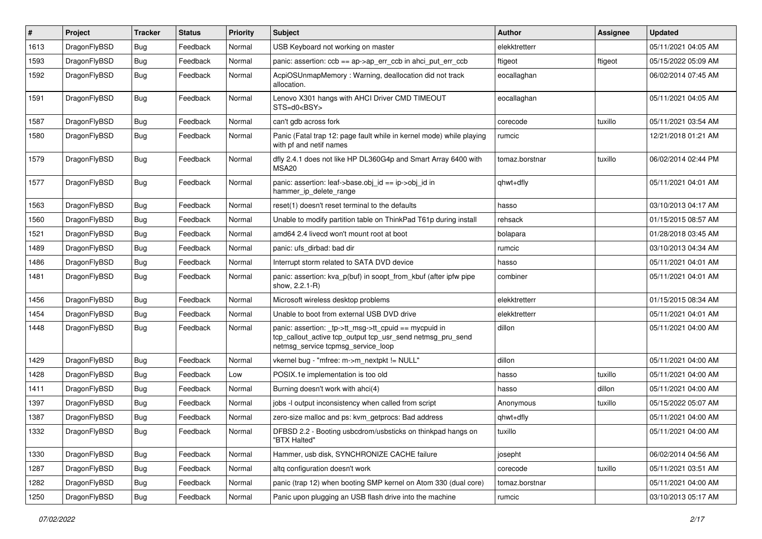| #    | Project      | <b>Tracker</b> | <b>Status</b> | <b>Priority</b> | Subject                                                                                                                                                   | <b>Author</b>  | Assignee | <b>Updated</b>      |
|------|--------------|----------------|---------------|-----------------|-----------------------------------------------------------------------------------------------------------------------------------------------------------|----------------|----------|---------------------|
| 1613 | DragonFlyBSD | <b>Bug</b>     | Feedback      | Normal          | USB Keyboard not working on master                                                                                                                        | elekktretterr  |          | 05/11/2021 04:05 AM |
| 1593 | DragonFlyBSD | Bug            | Feedback      | Normal          | panic: assertion: ccb == ap->ap_err_ccb in ahci_put_err_ccb                                                                                               | ftigeot        | ftigeot  | 05/15/2022 05:09 AM |
| 1592 | DragonFlyBSD | Bug            | Feedback      | Normal          | AcpiOSUnmapMemory: Warning, deallocation did not track<br>allocation.                                                                                     | eocallaghan    |          | 06/02/2014 07:45 AM |
| 1591 | DragonFlyBSD | <b>Bug</b>     | Feedback      | Normal          | Lenovo X301 hangs with AHCI Driver CMD TIMEOUT<br>STS=d0 <bsy></bsy>                                                                                      | eocallaghan    |          | 05/11/2021 04:05 AM |
| 1587 | DragonFlyBSD | Bug            | Feedback      | Normal          | can't gdb across fork                                                                                                                                     | corecode       | tuxillo  | 05/11/2021 03:54 AM |
| 1580 | DragonFlyBSD | Bug            | Feedback      | Normal          | Panic (Fatal trap 12: page fault while in kernel mode) while playing<br>with pf and netif names                                                           | rumcic         |          | 12/21/2018 01:21 AM |
| 1579 | DragonFlyBSD | Bug            | Feedback      | Normal          | dfly 2.4.1 does not like HP DL360G4p and Smart Array 6400 with<br>MSA20                                                                                   | tomaz.borstnar | tuxillo  | 06/02/2014 02:44 PM |
| 1577 | DragonFlyBSD | Bug            | Feedback      | Normal          | panic: assertion: leaf->base.obj_id == ip->obj_id in<br>hammer_ip_delete_range                                                                            | qhwt+dfly      |          | 05/11/2021 04:01 AM |
| 1563 | DragonFlyBSD | Bug            | Feedback      | Normal          | reset(1) doesn't reset terminal to the defaults                                                                                                           | hasso          |          | 03/10/2013 04:17 AM |
| 1560 | DragonFlyBSD | <b>Bug</b>     | Feedback      | Normal          | Unable to modify partition table on ThinkPad T61p during install                                                                                          | rehsack        |          | 01/15/2015 08:57 AM |
| 1521 | DragonFlyBSD | <b>Bug</b>     | Feedback      | Normal          | amd64 2.4 livecd won't mount root at boot                                                                                                                 | bolapara       |          | 01/28/2018 03:45 AM |
| 1489 | DragonFlyBSD | <b>Bug</b>     | Feedback      | Normal          | panic: ufs dirbad: bad dir                                                                                                                                | rumcic         |          | 03/10/2013 04:34 AM |
| 1486 | DragonFlyBSD | Bug            | Feedback      | Normal          | Interrupt storm related to SATA DVD device                                                                                                                | hasso          |          | 05/11/2021 04:01 AM |
| 1481 | DragonFlyBSD | <b>Bug</b>     | Feedback      | Normal          | panic: assertion: kva_p(buf) in soopt_from_kbuf (after ipfw pipe<br>show, 2.2.1-R)                                                                        | combiner       |          | 05/11/2021 04:01 AM |
| 1456 | DragonFlyBSD | Bug            | Feedback      | Normal          | Microsoft wireless desktop problems                                                                                                                       | elekktretterr  |          | 01/15/2015 08:34 AM |
| 1454 | DragonFlyBSD | Bug            | Feedback      | Normal          | Unable to boot from external USB DVD drive                                                                                                                | elekktretterr  |          | 05/11/2021 04:01 AM |
| 1448 | DragonFlyBSD | Bug            | Feedback      | Normal          | panic: assertion: _tp->tt_msg->tt_cpuid == mycpuid in<br>tcp_callout_active tcp_output tcp_usr_send netmsg_pru_send<br>netmsg_service tcpmsg_service_loop | dillon         |          | 05/11/2021 04:00 AM |
| 1429 | DragonFlyBSD | Bug            | Feedback      | Normal          | vkernel bug - "mfree: m->m_nextpkt != NULL"                                                                                                               | dillon         |          | 05/11/2021 04:00 AM |
| 1428 | DragonFlyBSD | Bug            | Feedback      | Low             | POSIX.1e implementation is too old                                                                                                                        | hasso          | tuxillo  | 05/11/2021 04:00 AM |
| 1411 | DragonFlyBSD | Bug            | Feedback      | Normal          | Burning doesn't work with ahci(4)                                                                                                                         | hasso          | dillon   | 05/11/2021 04:00 AM |
| 1397 | DragonFlyBSD | Bug            | Feedback      | Normal          | jobs -I output inconsistency when called from script                                                                                                      | Anonymous      | tuxillo  | 05/15/2022 05:07 AM |
| 1387 | DragonFlyBSD | Bug            | Feedback      | Normal          | zero-size malloc and ps: kvm_getprocs: Bad address                                                                                                        | qhwt+dfly      |          | 05/11/2021 04:00 AM |
| 1332 | DragonFlyBSD | <b>Bug</b>     | Feedback      | Normal          | DFBSD 2.2 - Booting usbcdrom/usbsticks on thinkpad hangs on<br>"BTX Halted"                                                                               | tuxillo        |          | 05/11/2021 04:00 AM |
| 1330 | DragonFlyBSD | <b>Bug</b>     | Feedback      | Normal          | Hammer, usb disk, SYNCHRONIZE CACHE failure                                                                                                               | josepht        |          | 06/02/2014 04:56 AM |
| 1287 | DragonFlyBSD | <b>Bug</b>     | Feedback      | Normal          | altg configuration doesn't work                                                                                                                           | corecode       | tuxillo  | 05/11/2021 03:51 AM |
| 1282 | DragonFlyBSD | <b>Bug</b>     | Feedback      | Normal          | panic (trap 12) when booting SMP kernel on Atom 330 (dual core)                                                                                           | tomaz.borstnar |          | 05/11/2021 04:00 AM |
| 1250 | DragonFlyBSD | <b>Bug</b>     | Feedback      | Normal          | Panic upon plugging an USB flash drive into the machine                                                                                                   | rumcic         |          | 03/10/2013 05:17 AM |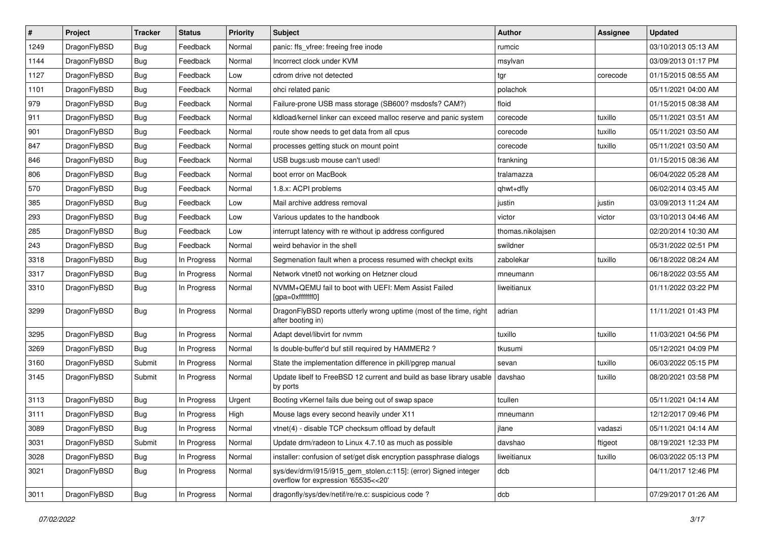| $\sharp$ | Project      | <b>Tracker</b> | <b>Status</b> | <b>Priority</b> | Subject                                                                                                | <b>Author</b>     | Assignee | <b>Updated</b>      |
|----------|--------------|----------------|---------------|-----------------|--------------------------------------------------------------------------------------------------------|-------------------|----------|---------------------|
| 1249     | DragonFlyBSD | Bug            | Feedback      | Normal          | panic: ffs_vfree: freeing free inode                                                                   | rumcic            |          | 03/10/2013 05:13 AM |
| 1144     | DragonFlyBSD | Bug            | Feedback      | Normal          | Incorrect clock under KVM                                                                              | msylvan           |          | 03/09/2013 01:17 PM |
| 1127     | DragonFlyBSD | <b>Bug</b>     | Feedback      | Low             | cdrom drive not detected                                                                               | tgr               | corecode | 01/15/2015 08:55 AM |
| 1101     | DragonFlyBSD | Bug            | Feedback      | Normal          | ohci related panic                                                                                     | polachok          |          | 05/11/2021 04:00 AM |
| 979      | DragonFlyBSD | Bug            | Feedback      | Normal          | Failure-prone USB mass storage (SB600? msdosfs? CAM?)                                                  | floid             |          | 01/15/2015 08:38 AM |
| 911      | DragonFlyBSD | Bug            | Feedback      | Normal          | kldload/kernel linker can exceed malloc reserve and panic system                                       | corecode          | tuxillo  | 05/11/2021 03:51 AM |
| 901      | DragonFlyBSD | Bug            | Feedback      | Normal          | route show needs to get data from all cpus                                                             | corecode          | tuxillo  | 05/11/2021 03:50 AM |
| 847      | DragonFlyBSD | Bug            | Feedback      | Normal          | processes getting stuck on mount point                                                                 | corecode          | tuxillo  | 05/11/2021 03:50 AM |
| 846      | DragonFlyBSD | <b>Bug</b>     | Feedback      | Normal          | USB bugs:usb mouse can't used!                                                                         | frankning         |          | 01/15/2015 08:36 AM |
| 806      | DragonFlyBSD | Bug            | Feedback      | Normal          | boot error on MacBook                                                                                  | tralamazza        |          | 06/04/2022 05:28 AM |
| 570      | DragonFlyBSD | <b>Bug</b>     | Feedback      | Normal          | 1.8.x: ACPI problems                                                                                   | qhwt+dfly         |          | 06/02/2014 03:45 AM |
| 385      | DragonFlyBSD | Bug            | Feedback      | Low             | Mail archive address removal                                                                           | justin            | justin   | 03/09/2013 11:24 AM |
| 293      | DragonFlyBSD | Bug            | Feedback      | Low             | Various updates to the handbook                                                                        | victor            | victor   | 03/10/2013 04:46 AM |
| 285      | DragonFlyBSD | Bug            | Feedback      | Low             | interrupt latency with re without ip address configured                                                | thomas.nikolajsen |          | 02/20/2014 10:30 AM |
| 243      | DragonFlyBSD | Bug            | Feedback      | Normal          | weird behavior in the shell                                                                            | swildner          |          | 05/31/2022 02:51 PM |
| 3318     | DragonFlyBSD | <b>Bug</b>     | In Progress   | Normal          | Segmenation fault when a process resumed with checkpt exits                                            | zabolekar         | tuxillo  | 06/18/2022 08:24 AM |
| 3317     | DragonFlyBSD | Bug            | In Progress   | Normal          | Network vtnet0 not working on Hetzner cloud                                                            | mneumann          |          | 06/18/2022 03:55 AM |
| 3310     | DragonFlyBSD | Bug            | In Progress   | Normal          | NVMM+QEMU fail to boot with UEFI: Mem Assist Failed<br>[gpa=0xfffffff0]                                | liweitianux       |          | 01/11/2022 03:22 PM |
| 3299     | DragonFlyBSD | Bug            | In Progress   | Normal          | DragonFlyBSD reports utterly wrong uptime (most of the time, right<br>after booting in)                | adrian            |          | 11/11/2021 01:43 PM |
| 3295     | DragonFlyBSD | Bug            | In Progress   | Normal          | Adapt devel/libvirt for nvmm                                                                           | tuxillo           | tuxillo  | 11/03/2021 04:56 PM |
| 3269     | DragonFlyBSD | Bug            | In Progress   | Normal          | Is double-buffer'd buf still required by HAMMER2 ?                                                     | tkusumi           |          | 05/12/2021 04:09 PM |
| 3160     | DragonFlyBSD | Submit         | In Progress   | Normal          | State the implementation difference in pkill/pgrep manual                                              | sevan             | tuxillo  | 06/03/2022 05:15 PM |
| 3145     | DragonFlyBSD | Submit         | In Progress   | Normal          | Update libelf to FreeBSD 12 current and build as base library usable   davshao<br>by ports             |                   | tuxillo  | 08/20/2021 03:58 PM |
| 3113     | DragonFlyBSD | Bug            | In Progress   | Urgent          | Booting vKernel fails due being out of swap space                                                      | tcullen           |          | 05/11/2021 04:14 AM |
| 3111     | DragonFlyBSD | Bug            | In Progress   | High            | Mouse lags every second heavily under X11                                                              | mneumann          |          | 12/12/2017 09:46 PM |
| 3089     | DragonFlyBSD | Bug            | In Progress   | Normal          | vtnet(4) - disable TCP checksum offload by default                                                     | jlane             | vadaszi  | 05/11/2021 04:14 AM |
| 3031     | DragonFlyBSD | Submit         | In Progress   | Normal          | Update drm/radeon to Linux 4.7.10 as much as possible                                                  | davshao           | ftigeot  | 08/19/2021 12:33 PM |
| 3028     | DragonFlyBSD | <b>Bug</b>     | In Progress   | Normal          | installer: confusion of set/get disk encryption passphrase dialogs                                     | liweitianux       | tuxillo  | 06/03/2022 05:13 PM |
| 3021     | DragonFlyBSD | <b>Bug</b>     | In Progress   | Normal          | sys/dev/drm/i915/i915_gem_stolen.c:115]: (error) Signed integer<br>overflow for expression '65535<<20' | dcb               |          | 04/11/2017 12:46 PM |
| 3011     | DragonFlyBSD | <b>Bug</b>     | In Progress   | Normal          | dragonfly/sys/dev/netif/re/re.c: suspicious code ?                                                     | dcb               |          | 07/29/2017 01:26 AM |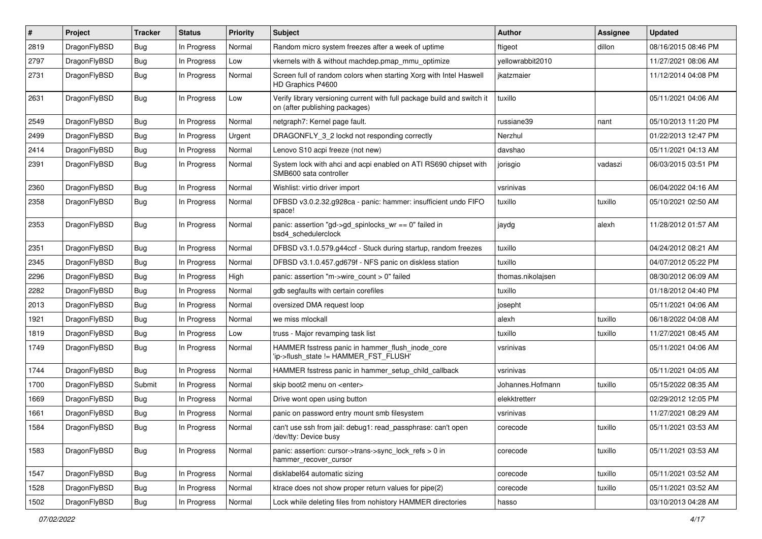| #    | Project      | <b>Tracker</b> | <b>Status</b> | <b>Priority</b> | Subject                                                                                                   | <b>Author</b>     | <b>Assignee</b> | <b>Updated</b>      |
|------|--------------|----------------|---------------|-----------------|-----------------------------------------------------------------------------------------------------------|-------------------|-----------------|---------------------|
| 2819 | DragonFlyBSD | Bug            | In Progress   | Normal          | Random micro system freezes after a week of uptime                                                        | ftigeot           | dillon          | 08/16/2015 08:46 PM |
| 2797 | DragonFlyBSD | Bug            | In Progress   | Low             | vkernels with & without machdep.pmap_mmu_optimize                                                         | yellowrabbit2010  |                 | 11/27/2021 08:06 AM |
| 2731 | DragonFlyBSD | Bug            | In Progress   | Normal          | Screen full of random colors when starting Xorg with Intel Haswell<br>HD Graphics P4600                   | ikatzmaier        |                 | 11/12/2014 04:08 PM |
| 2631 | DragonFlyBSD | <b>Bug</b>     | In Progress   | Low             | Verify library versioning current with full package build and switch it<br>on (after publishing packages) | tuxillo           |                 | 05/11/2021 04:06 AM |
| 2549 | DragonFlyBSD | Bug            | In Progress   | Normal          | netgraph7: Kernel page fault.                                                                             | russiane39        | nant            | 05/10/2013 11:20 PM |
| 2499 | DragonFlyBSD | Bug            | In Progress   | Urgent          | DRAGONFLY 3 2 lockd not responding correctly                                                              | Nerzhul           |                 | 01/22/2013 12:47 PM |
| 2414 | DragonFlyBSD | Bug            | In Progress   | Normal          | Lenovo S10 acpi freeze (not new)                                                                          | davshao           |                 | 05/11/2021 04:13 AM |
| 2391 | DragonFlyBSD | Bug            | In Progress   | Normal          | System lock with ahci and acpi enabled on ATI RS690 chipset with<br>SMB600 sata controller                | jorisgio          | vadaszi         | 06/03/2015 03:51 PM |
| 2360 | DragonFlyBSD | Bug            | In Progress   | Normal          | Wishlist: virtio driver import                                                                            | vsrinivas         |                 | 06/04/2022 04:16 AM |
| 2358 | DragonFlyBSD | Bug            | In Progress   | Normal          | DFBSD v3.0.2.32.g928ca - panic: hammer: insufficient undo FIFO<br>space!                                  | tuxillo           | tuxillo         | 05/10/2021 02:50 AM |
| 2353 | DragonFlyBSD | Bug            | In Progress   | Normal          | panic: assertion "gd->gd_spinlocks_wr == 0" failed in<br>bsd4 schedulerclock                              | jaydg             | alexh           | 11/28/2012 01:57 AM |
| 2351 | DragonFlyBSD | Bug            | In Progress   | Normal          | DFBSD v3.1.0.579.g44ccf - Stuck during startup, random freezes                                            | tuxillo           |                 | 04/24/2012 08:21 AM |
| 2345 | DragonFlyBSD | Bug            | In Progress   | Normal          | DFBSD v3.1.0.457.gd679f - NFS panic on diskless station                                                   | tuxillo           |                 | 04/07/2012 05:22 PM |
| 2296 | DragonFlyBSD | Bug            | In Progress   | High            | panic: assertion "m->wire count > 0" failed                                                               | thomas.nikolajsen |                 | 08/30/2012 06:09 AM |
| 2282 | DragonFlyBSD | Bug            | In Progress   | Normal          | gdb segfaults with certain corefiles                                                                      | tuxillo           |                 | 01/18/2012 04:40 PM |
| 2013 | DragonFlyBSD | Bug            | In Progress   | Normal          | oversized DMA request loop                                                                                | josepht           |                 | 05/11/2021 04:06 AM |
| 1921 | DragonFlyBSD | Bug            | In Progress   | Normal          | we miss mlockall                                                                                          | alexh             | tuxillo         | 06/18/2022 04:08 AM |
| 1819 | DragonFlyBSD | Bug            | In Progress   | Low             | truss - Major revamping task list                                                                         | tuxillo           | tuxillo         | 11/27/2021 08:45 AM |
| 1749 | DragonFlyBSD | Bug            | In Progress   | Normal          | HAMMER fsstress panic in hammer_flush_inode_core<br>'ip->flush_state != HAMMER_FST_FLUSH'                 | vsrinivas         |                 | 05/11/2021 04:06 AM |
| 1744 | DragonFlyBSD | Bug            | In Progress   | Normal          | HAMMER fsstress panic in hammer_setup_child_callback                                                      | vsrinivas         |                 | 05/11/2021 04:05 AM |
| 1700 | DragonFlyBSD | Submit         | In Progress   | Normal          | skip boot2 menu on <enter></enter>                                                                        | Johannes.Hofmann  | tuxillo         | 05/15/2022 08:35 AM |
| 1669 | DragonFlyBSD | Bug            | In Progress   | Normal          | Drive wont open using button                                                                              | elekktretterr     |                 | 02/29/2012 12:05 PM |
| 1661 | DragonFlyBSD | Bug            | In Progress   | Normal          | panic on password entry mount smb filesystem                                                              | vsrinivas         |                 | 11/27/2021 08:29 AM |
| 1584 | DragonFlyBSD | Bug            | In Progress   | Normal          | can't use ssh from jail: debug1: read passphrase: can't open<br>/dev/tty: Device busy                     | corecode          | tuxillo         | 05/11/2021 03:53 AM |
| 1583 | DragonFlyBSD | <b>Bug</b>     | In Progress   | Normal          | panic: assertion: cursor->trans->sync_lock_refs > 0 in<br>hammer_recover_cursor                           | corecode          | tuxillo         | 05/11/2021 03:53 AM |
| 1547 | DragonFlyBSD | <b>Bug</b>     | In Progress   | Normal          | disklabel64 automatic sizing                                                                              | corecode          | tuxillo         | 05/11/2021 03:52 AM |
| 1528 | DragonFlyBSD | Bug            | In Progress   | Normal          | ktrace does not show proper return values for pipe(2)                                                     | corecode          | tuxillo         | 05/11/2021 03:52 AM |
| 1502 | DragonFlyBSD | <b>Bug</b>     | In Progress   | Normal          | Lock while deleting files from nohistory HAMMER directories                                               | hasso             |                 | 03/10/2013 04:28 AM |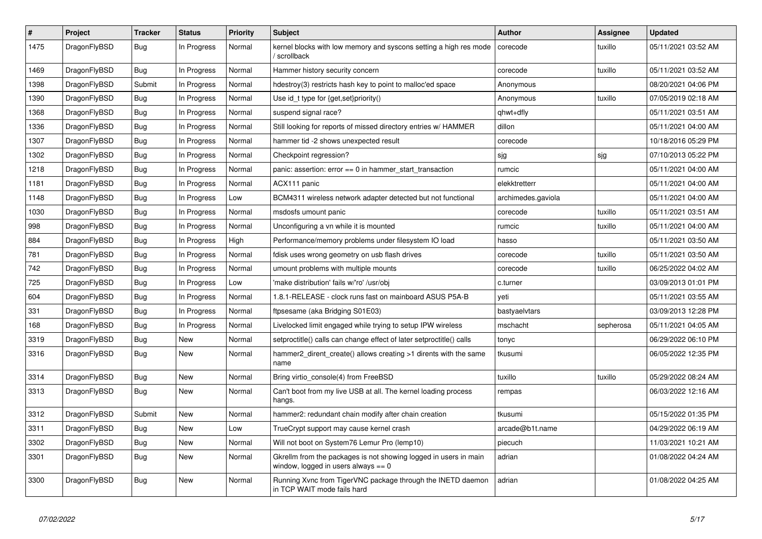| $\vert$ # | <b>Project</b> | <b>Tracker</b> | <b>Status</b> | <b>Priority</b> | <b>Subject</b>                                                                                            | Author             | Assignee  | <b>Updated</b>      |
|-----------|----------------|----------------|---------------|-----------------|-----------------------------------------------------------------------------------------------------------|--------------------|-----------|---------------------|
| 1475      | DragonFlyBSD   | Bug            | In Progress   | Normal          | kernel blocks with low memory and syscons setting a high res mode<br>/ scrollback                         | corecode           | tuxillo   | 05/11/2021 03:52 AM |
| 1469      | DragonFlyBSD   | <b>Bug</b>     | In Progress   | Normal          | Hammer history security concern                                                                           | corecode           | tuxillo   | 05/11/2021 03:52 AM |
| 1398      | DragonFlyBSD   | Submit         | In Progress   | Normal          | hdestroy(3) restricts hash key to point to malloc'ed space                                                | Anonymous          |           | 08/20/2021 04:06 PM |
| 1390      | DragonFlyBSD   | Bug            | In Progress   | Normal          | Use id_t type for {get,set}priority()                                                                     | Anonymous          | tuxillo   | 07/05/2019 02:18 AM |
| 1368      | DragonFlyBSD   | Bug            | In Progress   | Normal          | suspend signal race?                                                                                      | qhwt+dfly          |           | 05/11/2021 03:51 AM |
| 1336      | DragonFlyBSD   | Bug            | In Progress   | Normal          | Still looking for reports of missed directory entries w/ HAMMER                                           | dillon             |           | 05/11/2021 04:00 AM |
| 1307      | DragonFlyBSD   | <b>Bug</b>     | In Progress   | Normal          | hammer tid -2 shows unexpected result                                                                     | corecode           |           | 10/18/2016 05:29 PM |
| 1302      | DragonFlyBSD   | Bug            | In Progress   | Normal          | Checkpoint regression?                                                                                    | sjg                | sjg       | 07/10/2013 05:22 PM |
| 1218      | DragonFlyBSD   | Bug            | In Progress   | Normal          | panic: assertion: $error == 0$ in hammer start transaction                                                | rumcic             |           | 05/11/2021 04:00 AM |
| 1181      | DragonFlyBSD   | Bug            | In Progress   | Normal          | ACX111 panic                                                                                              | elekktretterr      |           | 05/11/2021 04:00 AM |
| 1148      | DragonFlyBSD   | <b>Bug</b>     | In Progress   | Low             | BCM4311 wireless network adapter detected but not functional                                              | archimedes.gaviola |           | 05/11/2021 04:00 AM |
| 1030      | DragonFlyBSD   | Bug            | In Progress   | Normal          | msdosfs umount panic                                                                                      | corecode           | tuxillo   | 05/11/2021 03:51 AM |
| 998       | DragonFlyBSD   | Bug            | In Progress   | Normal          | Unconfiguring a vn while it is mounted                                                                    | rumcic             | tuxillo   | 05/11/2021 04:00 AM |
| 884       | DragonFlyBSD   | Bug            | In Progress   | High            | Performance/memory problems under filesystem IO load                                                      | hasso              |           | 05/11/2021 03:50 AM |
| 781       | DragonFlyBSD   | <b>Bug</b>     | In Progress   | Normal          | fdisk uses wrong geometry on usb flash drives                                                             | corecode           | tuxillo   | 05/11/2021 03:50 AM |
| 742       | DragonFlyBSD   | <b>Bug</b>     | In Progress   | Normal          | umount problems with multiple mounts                                                                      | corecode           | tuxillo   | 06/25/2022 04:02 AM |
| 725       | DragonFlyBSD   | <b>Bug</b>     | In Progress   | Low             | 'make distribution' fails w/'ro' /usr/obj                                                                 | c.turner           |           | 03/09/2013 01:01 PM |
| 604       | DragonFlyBSD   | Bug            | In Progress   | Normal          | 1.8.1-RELEASE - clock runs fast on mainboard ASUS P5A-B                                                   | yeti               |           | 05/11/2021 03:55 AM |
| 331       | DragonFlyBSD   | Bug            | In Progress   | Normal          | ftpsesame (aka Bridging S01E03)                                                                           | bastyaelvtars      |           | 03/09/2013 12:28 PM |
| 168       | DragonFlyBSD   | <b>Bug</b>     | In Progress   | Normal          | Livelocked limit engaged while trying to setup IPW wireless                                               | mschacht           | sepherosa | 05/11/2021 04:05 AM |
| 3319      | DragonFlyBSD   | <b>Bug</b>     | New           | Normal          | setproctitle() calls can change effect of later setproctitle() calls                                      | tonyc              |           | 06/29/2022 06:10 PM |
| 3316      | DragonFlyBSD   | Bug            | New           | Normal          | hammer2_dirent_create() allows creating >1 dirents with the same<br>name                                  | tkusumi            |           | 06/05/2022 12:35 PM |
| 3314      | DragonFlyBSD   | <b>Bug</b>     | <b>New</b>    | Normal          | Bring virtio console(4) from FreeBSD                                                                      | tuxillo            | tuxillo   | 05/29/2022 08:24 AM |
| 3313      | DragonFlyBSD   | <b>Bug</b>     | New           | Normal          | Can't boot from my live USB at all. The kernel loading process<br>hangs.                                  | rempas             |           | 06/03/2022 12:16 AM |
| 3312      | DragonFlyBSD   | Submit         | <b>New</b>    | Normal          | hammer2: redundant chain modify after chain creation                                                      | tkusumi            |           | 05/15/2022 01:35 PM |
| 3311      | DragonFlyBSD   | Bug            | New           | Low             | TrueCrypt support may cause kernel crash                                                                  | arcade@b1t.name    |           | 04/29/2022 06:19 AM |
| 3302      | DragonFlyBSD   | <b>Bug</b>     | New           | Normal          | Will not boot on System76 Lemur Pro (lemp10)                                                              | piecuch            |           | 11/03/2021 10:21 AM |
| 3301      | DragonFlyBSD   | <b>Bug</b>     | New           | Normal          | Gkrellm from the packages is not showing logged in users in main<br>window, logged in users always $== 0$ | adrian             |           | 01/08/2022 04:24 AM |
| 3300      | DragonFlyBSD   | <b>Bug</b>     | New           | Normal          | Running Xvnc from TigerVNC package through the INETD daemon<br>in TCP WAIT mode fails hard                | adrian             |           | 01/08/2022 04:25 AM |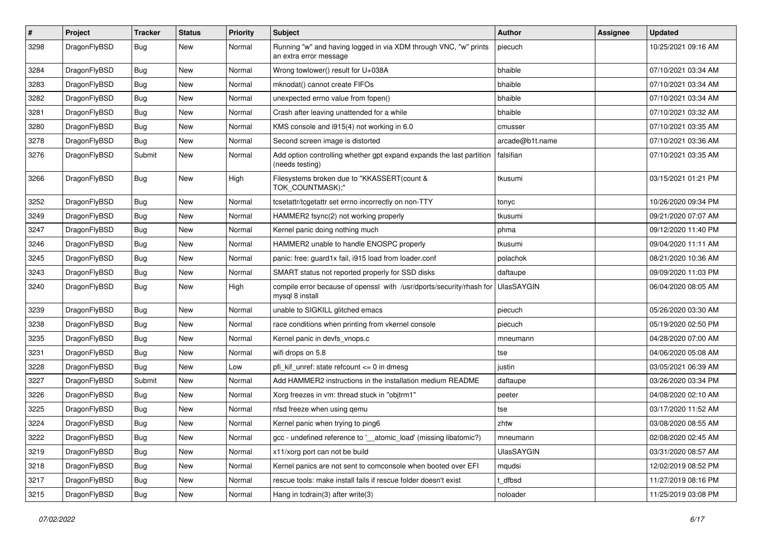| $\vert$ # | Project      | <b>Tracker</b> | <b>Status</b> | <b>Priority</b> | <b>Subject</b>                                                                             | Author            | <b>Assignee</b> | <b>Updated</b>      |
|-----------|--------------|----------------|---------------|-----------------|--------------------------------------------------------------------------------------------|-------------------|-----------------|---------------------|
| 3298      | DragonFlyBSD | Bug            | New           | Normal          | Running "w" and having logged in via XDM through VNC, "w" prints<br>an extra error message | piecuch           |                 | 10/25/2021 09:16 AM |
| 3284      | DragonFlyBSD | <b>Bug</b>     | <b>New</b>    | Normal          | Wrong towlower() result for U+038A                                                         | bhaible           |                 | 07/10/2021 03:34 AM |
| 3283      | DragonFlyBSD | Bug            | New           | Normal          | mknodat() cannot create FIFOs                                                              | bhaible           |                 | 07/10/2021 03:34 AM |
| 3282      | DragonFlyBSD | <b>Bug</b>     | <b>New</b>    | Normal          | unexpected errno value from fopen()                                                        | bhaible           |                 | 07/10/2021 03:34 AM |
| 3281      | DragonFlyBSD | <b>Bug</b>     | New           | Normal          | Crash after leaving unattended for a while                                                 | bhaible           |                 | 07/10/2021 03:32 AM |
| 3280      | DragonFlyBSD | Bug            | <b>New</b>    | Normal          | KMS console and i915(4) not working in 6.0                                                 | cmusser           |                 | 07/10/2021 03:35 AM |
| 3278      | DragonFlyBSD | <b>Bug</b>     | New           | Normal          | Second screen image is distorted                                                           | arcade@b1t.name   |                 | 07/10/2021 03:36 AM |
| 3276      | DragonFlyBSD | Submit         | New           | Normal          | Add option controlling whether gpt expand expands the last partition<br>(needs testing)    | falsifian         |                 | 07/10/2021 03:35 AM |
| 3266      | DragonFlyBSD | Bug            | New           | High            | Filesystems broken due to "KKASSERT(count &<br>TOK_COUNTMASK);"                            | tkusumi           |                 | 03/15/2021 01:21 PM |
| 3252      | DragonFlyBSD | Bug            | <b>New</b>    | Normal          | tcsetattr/tcgetattr set errno incorrectly on non-TTY                                       | tonyc             |                 | 10/26/2020 09:34 PM |
| 3249      | DragonFlyBSD | Bug            | New           | Normal          | HAMMER2 fsync(2) not working properly                                                      | tkusumi           |                 | 09/21/2020 07:07 AM |
| 3247      | DragonFlyBSD | Bug            | <b>New</b>    | Normal          | Kernel panic doing nothing much                                                            | phma              |                 | 09/12/2020 11:40 PM |
| 3246      | DragonFlyBSD | <b>Bug</b>     | New           | Normal          | HAMMER2 unable to handle ENOSPC properly                                                   | tkusumi           |                 | 09/04/2020 11:11 AM |
| 3245      | DragonFlyBSD | Bug            | <b>New</b>    | Normal          | panic: free: guard1x fail, i915 load from loader.conf                                      | polachok          |                 | 08/21/2020 10:36 AM |
| 3243      | DragonFlyBSD | <b>Bug</b>     | <b>New</b>    | Normal          | SMART status not reported properly for SSD disks                                           | daftaupe          |                 | 09/09/2020 11:03 PM |
| 3240      | DragonFlyBSD | <b>Bug</b>     | New           | High            | compile error because of openssl with /usr/dports/security/rhash for<br>mysql 8 install    | <b>UlasSAYGIN</b> |                 | 06/04/2020 08:05 AM |
| 3239      | DragonFlyBSD | Bug            | <b>New</b>    | Normal          | unable to SIGKILL glitched emacs                                                           | piecuch           |                 | 05/26/2020 03:30 AM |
| 3238      | DragonFlyBSD | <b>Bug</b>     | New           | Normal          | race conditions when printing from vkernel console                                         | piecuch           |                 | 05/19/2020 02:50 PM |
| 3235      | DragonFlyBSD | Bug            | <b>New</b>    | Normal          | Kernel panic in devfs_vnops.c                                                              | mneumann          |                 | 04/28/2020 07:00 AM |
| 3231      | DragonFlyBSD | <b>Bug</b>     | New           | Normal          | wifi drops on 5.8                                                                          | tse               |                 | 04/06/2020 05:08 AM |
| 3228      | DragonFlyBSD | Bug            | New           | Low             | pfi kif unref: state refcount $\leq 0$ in dmesg                                            | justin            |                 | 03/05/2021 06:39 AM |
| 3227      | DragonFlyBSD | Submit         | <b>New</b>    | Normal          | Add HAMMER2 instructions in the installation medium README                                 | daftaupe          |                 | 03/26/2020 03:34 PM |
| 3226      | DragonFlyBSD | <b>Bug</b>     | New           | Normal          | Xorg freezes in vm: thread stuck in "objtrm1"                                              | peeter            |                 | 04/08/2020 02:10 AM |
| 3225      | DragonFlyBSD | Bug            | New           | Normal          | nfsd freeze when using qemu                                                                | tse               |                 | 03/17/2020 11:52 AM |
| 3224      | DragonFlyBSD | <b>Bug</b>     | New           | Normal          | Kernel panic when trying to ping6                                                          | zhtw              |                 | 03/08/2020 08:55 AM |
| 3222      | DragonFlyBSD | <b>Bug</b>     | New           | Normal          | gcc - undefined reference to '__atomic_load' (missing libatomic?)                          | mneumann          |                 | 02/08/2020 02:45 AM |
| 3219      | DragonFlyBSD | Bug            | New           | Normal          | x11/xorg port can not be build                                                             | <b>UlasSAYGIN</b> |                 | 03/31/2020 08:57 AM |
| 3218      | DragonFlyBSD | <b>Bug</b>     | New           | Normal          | Kernel panics are not sent to comconsole when booted over EFI                              | mqudsi            |                 | 12/02/2019 08:52 PM |
| 3217      | DragonFlyBSD | <b>Bug</b>     | New           | Normal          | rescue tools: make install fails if rescue folder doesn't exist                            | t dfbsd           |                 | 11/27/2019 08:16 PM |
| 3215      | DragonFlyBSD | <b>Bug</b>     | New           | Normal          | Hang in tcdrain(3) after write(3)                                                          | noloader          |                 | 11/25/2019 03:08 PM |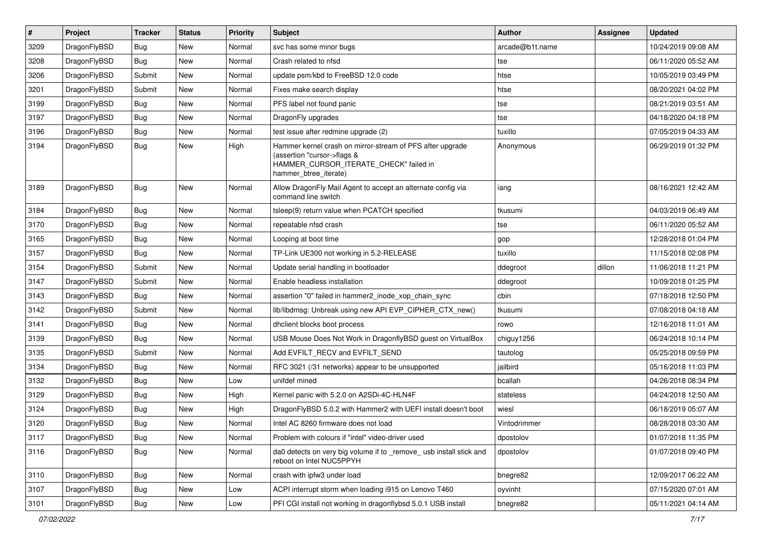| $\sharp$ | Project      | <b>Tracker</b> | <b>Status</b> | <b>Priority</b> | Subject                                                                                                                                                     | <b>Author</b>   | Assignee | <b>Updated</b>      |
|----------|--------------|----------------|---------------|-----------------|-------------------------------------------------------------------------------------------------------------------------------------------------------------|-----------------|----------|---------------------|
| 3209     | DragonFlyBSD | <b>Bug</b>     | <b>New</b>    | Normal          | svc has some minor bugs                                                                                                                                     | arcade@b1t.name |          | 10/24/2019 09:08 AM |
| 3208     | DragonFlyBSD | <b>Bug</b>     | New           | Normal          | Crash related to nfsd                                                                                                                                       | tse             |          | 06/11/2020 05:52 AM |
| 3206     | DragonFlyBSD | Submit         | New           | Normal          | update psm/kbd to FreeBSD 12.0 code                                                                                                                         | htse            |          | 10/05/2019 03:49 PM |
| 3201     | DragonFlyBSD | Submit         | New           | Normal          | Fixes make search display                                                                                                                                   | htse            |          | 08/20/2021 04:02 PM |
| 3199     | DragonFlyBSD | <b>Bug</b>     | <b>New</b>    | Normal          | PFS label not found panic                                                                                                                                   | tse             |          | 08/21/2019 03:51 AM |
| 3197     | DragonFlyBSD | <b>Bug</b>     | <b>New</b>    | Normal          | DragonFly upgrades                                                                                                                                          | tse             |          | 04/18/2020 04:18 PM |
| 3196     | DragonFlyBSD | <b>Bug</b>     | New           | Normal          | test issue after redmine upgrade (2)                                                                                                                        | tuxillo         |          | 07/05/2019 04:33 AM |
| 3194     | DragonFlyBSD | <b>Bug</b>     | <b>New</b>    | High            | Hammer kernel crash on mirror-stream of PFS after upgrade<br>(assertion "cursor->flags &<br>HAMMER_CURSOR_ITERATE_CHECK" failed in<br>hammer_btree_iterate) | Anonymous       |          | 06/29/2019 01:32 PM |
| 3189     | DragonFlyBSD | <b>Bug</b>     | New           | Normal          | Allow DragonFly Mail Agent to accept an alternate config via<br>command line switch                                                                         | iang            |          | 08/16/2021 12:42 AM |
| 3184     | DragonFlyBSD | <b>Bug</b>     | <b>New</b>    | Normal          | tsleep(9) return value when PCATCH specified                                                                                                                | tkusumi         |          | 04/03/2019 06:49 AM |
| 3170     | DragonFlyBSD | <b>Bug</b>     | <b>New</b>    | Normal          | repeatable nfsd crash                                                                                                                                       | tse             |          | 06/11/2020 05:52 AM |
| 3165     | DragonFlyBSD | <b>Bug</b>     | New           | Normal          | Looping at boot time                                                                                                                                        | gop             |          | 12/28/2018 01:04 PM |
| 3157     | DragonFlyBSD | <b>Bug</b>     | <b>New</b>    | Normal          | TP-Link UE300 not working in 5.2-RELEASE                                                                                                                    | tuxillo         |          | 11/15/2018 02:08 PM |
| 3154     | DragonFlyBSD | Submit         | New           | Normal          | Update serial handling in bootloader                                                                                                                        | ddegroot        | dillon   | 11/06/2018 11:21 PM |
| 3147     | DragonFlyBSD | Submit         | New           | Normal          | Enable headless installation                                                                                                                                | ddegroot        |          | 10/09/2018 01:25 PM |
| 3143     | DragonFlyBSD | <b>Bug</b>     | New           | Normal          | assertion "0" failed in hammer2_inode_xop_chain_sync                                                                                                        | cbin            |          | 07/18/2018 12:50 PM |
| 3142     | DragonFlyBSD | Submit         | <b>New</b>    | Normal          | lib/libdmsg: Unbreak using new API EVP_CIPHER_CTX_new()                                                                                                     | tkusumi         |          | 07/08/2018 04:18 AM |
| 3141     | DragonFlyBSD | <b>Bug</b>     | New           | Normal          | dhclient blocks boot process                                                                                                                                | rowo            |          | 12/16/2018 11:01 AM |
| 3139     | DragonFlyBSD | <b>Bug</b>     | <b>New</b>    | Normal          | USB Mouse Does Not Work in DragonflyBSD guest on VirtualBox                                                                                                 | chiguy1256      |          | 06/24/2018 10:14 PM |
| 3135     | DragonFlyBSD | Submit         | New           | Normal          | Add EVFILT_RECV and EVFILT_SEND                                                                                                                             | tautolog        |          | 05/25/2018 09:59 PM |
| 3134     | DragonFlyBSD | <b>Bug</b>     | New           | Normal          | RFC 3021 (/31 networks) appear to be unsupported                                                                                                            | jailbird        |          | 05/16/2018 11:03 PM |
| 3132     | DragonFlyBSD | <b>Bug</b>     | <b>New</b>    | Low             | unifdef mined                                                                                                                                               | bcallah         |          | 04/26/2018 08:34 PM |
| 3129     | DragonFlyBSD | <b>Bug</b>     | New           | High            | Kernel panic with 5.2.0 on A2SDi-4C-HLN4F                                                                                                                   | stateless       |          | 04/24/2018 12:50 AM |
| 3124     | DragonFlyBSD | <b>Bug</b>     | <b>New</b>    | High            | DragonFlyBSD 5.0.2 with Hammer2 with UEFI install doesn't boot                                                                                              | wiesl           |          | 06/18/2019 05:07 AM |
| 3120     | DragonFlyBSD | <b>Bug</b>     | New           | Normal          | Intel AC 8260 firmware does not load                                                                                                                        | Vintodrimmer    |          | 08/28/2018 03:30 AM |
| 3117     | DragonFlyBSD | <b>Bug</b>     | New           | Normal          | Problem with colours if "intel" video-driver used                                                                                                           | dpostolov       |          | 01/07/2018 11:35 PM |
| 3116     | DragonFlyBSD | <b>Bug</b>     | New           | Normal          | da0 detects on very big volume if to _remove_ usb install stick and<br>reboot on Intel NUC5PPYH                                                             | dpostolov       |          | 01/07/2018 09:40 PM |
| 3110     | DragonFlyBSD | <b>Bug</b>     | <b>New</b>    | Normal          | crash with ipfw3 under load                                                                                                                                 | bnegre82        |          | 12/09/2017 06:22 AM |
| 3107     | DragonFlyBSD | Bug            | <b>New</b>    | Low             | ACPI interrupt storm when loading i915 on Lenovo T460                                                                                                       | oyvinht         |          | 07/15/2020 07:01 AM |
| 3101     | DragonFlyBSD | <b>Bug</b>     | New           | Low             | PFI CGI install not working in dragonflybsd 5.0.1 USB install                                                                                               | bnegre82        |          | 05/11/2021 04:14 AM |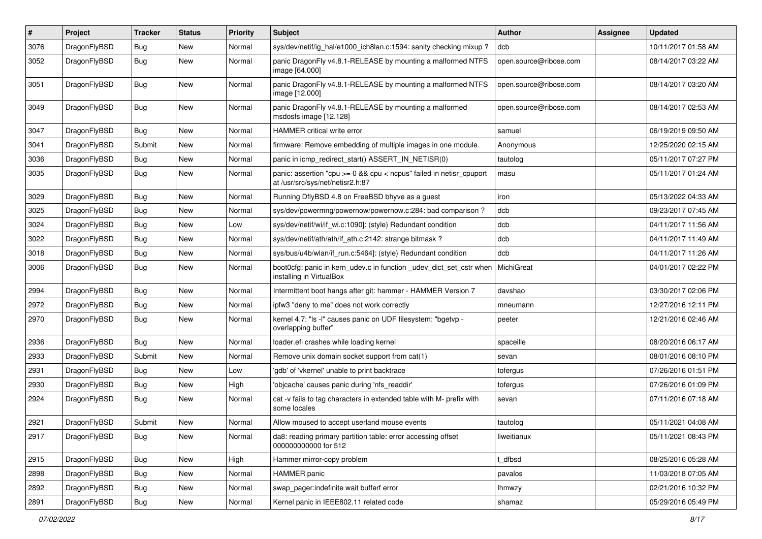| $\pmb{\#}$ | Project      | <b>Tracker</b> | <b>Status</b> | <b>Priority</b> | <b>Subject</b>                                                                                          | Author                 | Assignee | <b>Updated</b>      |
|------------|--------------|----------------|---------------|-----------------|---------------------------------------------------------------------------------------------------------|------------------------|----------|---------------------|
| 3076       | DragonFlyBSD | Bug            | New           | Normal          | sys/dev/netif/ig_hal/e1000_ich8lan.c:1594: sanity checking mixup ?                                      | dcb                    |          | 10/11/2017 01:58 AM |
| 3052       | DragonFlyBSD | Bug            | <b>New</b>    | Normal          | panic DragonFly v4.8.1-RELEASE by mounting a malformed NTFS<br>image [64.000]                           | open.source@ribose.com |          | 08/14/2017 03:22 AM |
| 3051       | DragonFlyBSD | Bug            | New           | Normal          | panic DragonFly v4.8.1-RELEASE by mounting a malformed NTFS<br>image [12.000]                           | open.source@ribose.com |          | 08/14/2017 03:20 AM |
| 3049       | DragonFlyBSD | Bug            | <b>New</b>    | Normal          | panic DragonFly v4.8.1-RELEASE by mounting a malformed<br>msdosfs image [12.128]                        | open.source@ribose.com |          | 08/14/2017 02:53 AM |
| 3047       | DragonFlyBSD | Bug            | <b>New</b>    | Normal          | HAMMER critical write error                                                                             | samuel                 |          | 06/19/2019 09:50 AM |
| 3041       | DragonFlyBSD | Submit         | New           | Normal          | firmware: Remove embedding of multiple images in one module.                                            | Anonymous              |          | 12/25/2020 02:15 AM |
| 3036       | DragonFlyBSD | Bug            | <b>New</b>    | Normal          | panic in icmp_redirect_start() ASSERT_IN_NETISR(0)                                                      | tautolog               |          | 05/11/2017 07:27 PM |
| 3035       | DragonFlyBSD | <b>Bug</b>     | New           | Normal          | panic: assertion "cpu >= 0 && cpu < ncpus" failed in netisr_cpuport<br>at /usr/src/sys/net/netisr2.h:87 | masu                   |          | 05/11/2017 01:24 AM |
| 3029       | DragonFlyBSD | Bug            | <b>New</b>    | Normal          | Running DflyBSD 4.8 on FreeBSD bhyve as a guest                                                         | iron                   |          | 05/13/2022 04:33 AM |
| 3025       | DragonFlyBSD | Bug            | <b>New</b>    | Normal          | sys/dev/powermng/powernow/powernow.c:284: bad comparison?                                               | dcb                    |          | 09/23/2017 07:45 AM |
| 3024       | DragonFlyBSD | Bug            | <b>New</b>    | Low             | sys/dev/netif/wi/if wi.c:1090]: (style) Redundant condition                                             | dcb                    |          | 04/11/2017 11:56 AM |
| 3022       | DragonFlyBSD | <b>Bug</b>     | New           | Normal          | sys/dev/netif/ath/ath/if_ath.c:2142: strange bitmask?                                                   | dcb                    |          | 04/11/2017 11:49 AM |
| 3018       | DragonFlyBSD | Bug            | New           | Normal          | sys/bus/u4b/wlan/if_run.c:5464]: (style) Redundant condition                                            | dcb                    |          | 04/11/2017 11:26 AM |
| 3006       | DragonFlyBSD | Bug            | New           | Normal          | boot0cfg: panic in kern_udev.c in function _udev_dict_set_cstr when<br>installing in VirtualBox         | <b>MichiGreat</b>      |          | 04/01/2017 02:22 PM |
| 2994       | DragonFlyBSD | Bug            | <b>New</b>    | Normal          | Intermittent boot hangs after git: hammer - HAMMER Version 7                                            | davshao                |          | 03/30/2017 02:06 PM |
| 2972       | DragonFlyBSD | Bug            | <b>New</b>    | Normal          | ipfw3 "deny to me" does not work correctly                                                              | mneumann               |          | 12/27/2016 12:11 PM |
| 2970       | DragonFlyBSD | Bug            | New           | Normal          | kernel 4.7: "Is -l" causes panic on UDF filesystem: "bgetvp -<br>overlapping buffer"                    | peeter                 |          | 12/21/2016 02:46 AM |
| 2936       | DragonFlyBSD | Bug            | New           | Normal          | loader.efi crashes while loading kernel                                                                 | spaceille              |          | 08/20/2016 06:17 AM |
| 2933       | DragonFlyBSD | Submit         | New           | Normal          | Remove unix domain socket support from cat(1)                                                           | sevan                  |          | 08/01/2016 08:10 PM |
| 2931       | DragonFlyBSD | Bug            | <b>New</b>    | Low             | 'gdb' of 'vkernel' unable to print backtrace                                                            | tofergus               |          | 07/26/2016 01:51 PM |
| 2930       | DragonFlyBSD | Bug            | <b>New</b>    | High            | 'objcache' causes panic during 'nfs_readdir'                                                            | tofergus               |          | 07/26/2016 01:09 PM |
| 2924       | DragonFlyBSD | <b>Bug</b>     | New           | Normal          | cat -v fails to tag characters in extended table with M- prefix with<br>some locales                    | sevan                  |          | 07/11/2016 07:18 AM |
| 2921       | DragonFlyBSD | Submit         | New           | Normal          | Allow moused to accept userland mouse events                                                            | tautolog               |          | 05/11/2021 04:08 AM |
| 2917       | DragonFlyBSD | <b>Bug</b>     | New           | Normal          | da8: reading primary partition table: error accessing offset<br>000000000000 for 512                    | liweitianux            |          | 05/11/2021 08:43 PM |
| 2915       | DragonFlyBSD | <b>Bug</b>     | New           | High            | Hammer mirror-copy problem                                                                              | t_dfbsd                |          | 08/25/2016 05:28 AM |
| 2898       | DragonFlyBSD | Bug            | New           | Normal          | HAMMER panic                                                                                            | pavalos                |          | 11/03/2018 07:05 AM |
| 2892       | DragonFlyBSD | <b>Bug</b>     | New           | Normal          | swap_pager:indefinite wait bufferf error                                                                | <b>Ihmwzy</b>          |          | 02/21/2016 10:32 PM |
| 2891       | DragonFlyBSD | Bug            | New           | Normal          | Kernel panic in IEEE802.11 related code                                                                 | shamaz                 |          | 05/29/2016 05:49 PM |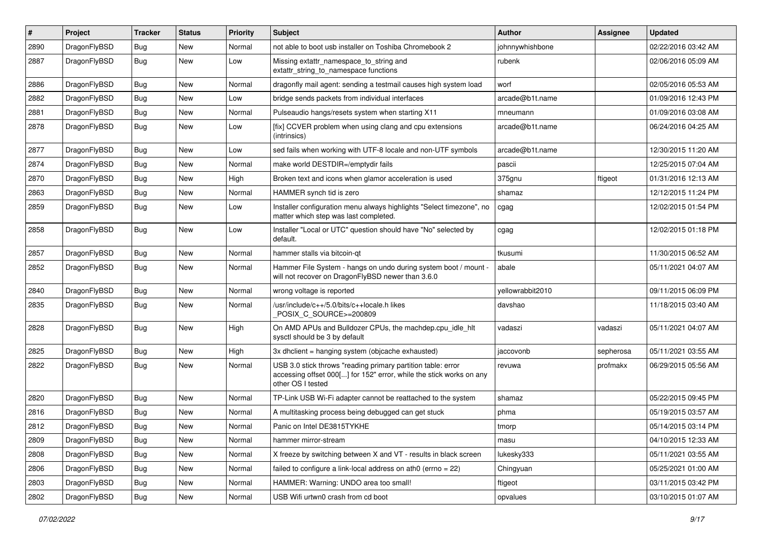| $\sharp$ | Project      | <b>Tracker</b> | <b>Status</b> | <b>Priority</b> | Subject                                                                                                                                                  | <b>Author</b>    | <b>Assignee</b> | <b>Updated</b>      |
|----------|--------------|----------------|---------------|-----------------|----------------------------------------------------------------------------------------------------------------------------------------------------------|------------------|-----------------|---------------------|
| 2890     | DragonFlyBSD | Bug            | New           | Normal          | not able to boot usb installer on Toshiba Chromebook 2                                                                                                   | johnnywhishbone  |                 | 02/22/2016 03:42 AM |
| 2887     | DragonFlyBSD | <b>Bug</b>     | New           | Low             | Missing extattr_namespace_to_string and<br>extattr string to namespace functions                                                                         | rubenk           |                 | 02/06/2016 05:09 AM |
| 2886     | DragonFlyBSD | Bug            | <b>New</b>    | Normal          | dragonfly mail agent: sending a testmail causes high system load                                                                                         | worf             |                 | 02/05/2016 05:53 AM |
| 2882     | DragonFlyBSD | Bug            | New           | Low             | bridge sends packets from individual interfaces                                                                                                          | arcade@b1t.name  |                 | 01/09/2016 12:43 PM |
| 2881     | DragonFlyBSD | Bug            | New           | Normal          | Pulseaudio hangs/resets system when starting X11                                                                                                         | mneumann         |                 | 01/09/2016 03:08 AM |
| 2878     | DragonFlyBSD | <b>Bug</b>     | New           | Low             | [fix] CCVER problem when using clang and cpu extensions<br>(intrinsics)                                                                                  | arcade@b1t.name  |                 | 06/24/2016 04:25 AM |
| 2877     | DragonFlyBSD | Bug            | <b>New</b>    | Low             | sed fails when working with UTF-8 locale and non-UTF symbols                                                                                             | arcade@b1t.name  |                 | 12/30/2015 11:20 AM |
| 2874     | DragonFlyBSD | Bug            | <b>New</b>    | Normal          | make world DESTDIR=/emptydir fails                                                                                                                       | pascii           |                 | 12/25/2015 07:04 AM |
| 2870     | DragonFlyBSD | Bug            | New           | High            | Broken text and icons when glamor acceleration is used                                                                                                   | 375gnu           | ftigeot         | 01/31/2016 12:13 AM |
| 2863     | DragonFlyBSD | Bug            | <b>New</b>    | Normal          | HAMMER synch tid is zero                                                                                                                                 | shamaz           |                 | 12/12/2015 11:24 PM |
| 2859     | DragonFlyBSD | Bug            | New           | Low             | Installer configuration menu always highlights "Select timezone", no<br>matter which step was last completed.                                            | cgag             |                 | 12/02/2015 01:54 PM |
| 2858     | DragonFlyBSD | Bug            | New           | Low             | Installer "Local or UTC" question should have "No" selected by<br>default.                                                                               | cgag             |                 | 12/02/2015 01:18 PM |
| 2857     | DragonFlyBSD | Bug            | New           | Normal          | hammer stalls via bitcoin-qt                                                                                                                             | tkusumi          |                 | 11/30/2015 06:52 AM |
| 2852     | DragonFlyBSD | Bug            | New           | Normal          | Hammer File System - hangs on undo during system boot / mount -<br>will not recover on DragonFlyBSD newer than 3.6.0                                     | abale            |                 | 05/11/2021 04:07 AM |
| 2840     | DragonFlyBSD | Bug            | <b>New</b>    | Normal          | wrong voltage is reported                                                                                                                                | yellowrabbit2010 |                 | 09/11/2015 06:09 PM |
| 2835     | DragonFlyBSD | Bug            | New           | Normal          | /usr/include/c++/5.0/bits/c++locale.h likes<br>POSIX C SOURCE>=200809                                                                                    | davshao          |                 | 11/18/2015 03:40 AM |
| 2828     | DragonFlyBSD | Bug            | New           | High            | On AMD APUs and Bulldozer CPUs, the machdep.cpu_idle_hlt<br>sysctl should be 3 by default                                                                | vadaszi          | vadaszi         | 05/11/2021 04:07 AM |
| 2825     | DragonFlyBSD | Bug            | New           | High            | 3x dhclient = hanging system (objcache exhausted)                                                                                                        | jaccovonb        | sepherosa       | 05/11/2021 03:55 AM |
| 2822     | DragonFlyBSD | Bug            | New           | Normal          | USB 3.0 stick throws "reading primary partition table: error<br>accessing offset 000[] for 152" error, while the stick works on any<br>other OS I tested | revuwa           | profmakx        | 06/29/2015 05:56 AM |
| 2820     | DragonFlyBSD | Bug            | <b>New</b>    | Normal          | TP-Link USB Wi-Fi adapter cannot be reattached to the system                                                                                             | shamaz           |                 | 05/22/2015 09:45 PM |
| 2816     | DragonFlyBSD | Bug            | New           | Normal          | A multitasking process being debugged can get stuck                                                                                                      | phma             |                 | 05/19/2015 03:57 AM |
| 2812     | DragonFlyBSD | Bug            | <b>New</b>    | Normal          | Panic on Intel DE3815TYKHE                                                                                                                               | tmorp            |                 | 05/14/2015 03:14 PM |
| 2809     | DragonFlyBSD | <b>Bug</b>     | <b>New</b>    | Normal          | hammer mirror-stream                                                                                                                                     | masu             |                 | 04/10/2015 12:33 AM |
| 2808     | DragonFlyBSD | Bug            | New           | Normal          | X freeze by switching between X and VT - results in black screen                                                                                         | lukesky333       |                 | 05/11/2021 03:55 AM |
| 2806     | DragonFlyBSD | <b>Bug</b>     | <b>New</b>    | Normal          | failed to configure a link-local address on ath0 (errno = 22)                                                                                            | Chingyuan        |                 | 05/25/2021 01:00 AM |
| 2803     | DragonFlyBSD | <b>Bug</b>     | New           | Normal          | HAMMER: Warning: UNDO area too small!                                                                                                                    | ftigeot          |                 | 03/11/2015 03:42 PM |
| 2802     | DragonFlyBSD | <b>Bug</b>     | New           | Normal          | USB Wifi urtwn0 crash from cd boot                                                                                                                       | opvalues         |                 | 03/10/2015 01:07 AM |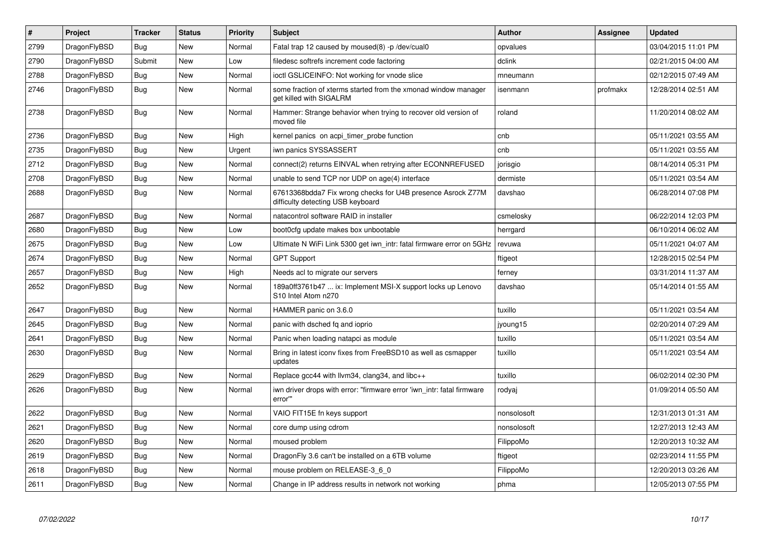| $\vert$ # | Project      | <b>Tracker</b> | <b>Status</b> | <b>Priority</b> | <b>Subject</b>                                                                                   | <b>Author</b> | Assignee | <b>Updated</b>      |
|-----------|--------------|----------------|---------------|-----------------|--------------------------------------------------------------------------------------------------|---------------|----------|---------------------|
| 2799      | DragonFlyBSD | <b>Bug</b>     | <b>New</b>    | Normal          | Fatal trap 12 caused by moused(8) -p /dev/cual0                                                  | opvalues      |          | 03/04/2015 11:01 PM |
| 2790      | DragonFlyBSD | Submit         | <b>New</b>    | Low             | filedesc softrefs increment code factoring                                                       | dclink        |          | 02/21/2015 04:00 AM |
| 2788      | DragonFlyBSD | <b>Bug</b>     | <b>New</b>    | Normal          | ioctl GSLICEINFO: Not working for vnode slice                                                    | mneumann      |          | 02/12/2015 07:49 AM |
| 2746      | DragonFlyBSD | <b>Bug</b>     | <b>New</b>    | Normal          | some fraction of xterms started from the xmonad window manager<br>get killed with SIGALRM        | isenmann      | profmakx | 12/28/2014 02:51 AM |
| 2738      | DragonFlyBSD | <b>Bug</b>     | <b>New</b>    | Normal          | Hammer: Strange behavior when trying to recover old version of<br>moved file                     | roland        |          | 11/20/2014 08:02 AM |
| 2736      | DragonFlyBSD | Bug            | <b>New</b>    | High            | kernel panics on acpi timer probe function                                                       | cnb           |          | 05/11/2021 03:55 AM |
| 2735      | DragonFlyBSD | Bug            | <b>New</b>    | Urgent          | iwn panics SYSSASSERT                                                                            | cnb           |          | 05/11/2021 03:55 AM |
| 2712      | DragonFlyBSD | <b>Bug</b>     | <b>New</b>    | Normal          | connect(2) returns EINVAL when retrying after ECONNREFUSED                                       | jorisgio      |          | 08/14/2014 05:31 PM |
| 2708      | DragonFlyBSD | Bug            | <b>New</b>    | Normal          | unable to send TCP nor UDP on age(4) interface                                                   | dermiste      |          | 05/11/2021 03:54 AM |
| 2688      | DragonFlyBSD | <b>Bug</b>     | <b>New</b>    | Normal          | 67613368bdda7 Fix wrong checks for U4B presence Asrock Z77M<br>difficulty detecting USB keyboard | davshao       |          | 06/28/2014 07:08 PM |
| 2687      | DragonFlyBSD | <b>Bug</b>     | <b>New</b>    | Normal          | natacontrol software RAID in installer                                                           | csmelosky     |          | 06/22/2014 12:03 PM |
| 2680      | DragonFlyBSD | Bug            | <b>New</b>    | Low             | boot0cfg update makes box unbootable                                                             | herrgard      |          | 06/10/2014 06:02 AM |
| 2675      | DragonFlyBSD | <b>Bug</b>     | <b>New</b>    | Low             | Ultimate N WiFi Link 5300 get iwn_intr: fatal firmware error on 5GHz                             | revuwa        |          | 05/11/2021 04:07 AM |
| 2674      | DragonFlyBSD | <b>Bug</b>     | New           | Normal          | <b>GPT Support</b>                                                                               | ftigeot       |          | 12/28/2015 02:54 PM |
| 2657      | DragonFlyBSD | <b>Bug</b>     | <b>New</b>    | High            | Needs acl to migrate our servers                                                                 | ferney        |          | 03/31/2014 11:37 AM |
| 2652      | DragonFlyBSD | Bug            | <b>New</b>    | Normal          | 189a0ff3761b47  ix: Implement MSI-X support locks up Lenovo<br>S10 Intel Atom n270               | davshao       |          | 05/14/2014 01:55 AM |
| 2647      | DragonFlyBSD | <b>Bug</b>     | <b>New</b>    | Normal          | HAMMER panic on 3.6.0                                                                            | tuxillo       |          | 05/11/2021 03:54 AM |
| 2645      | DragonFlyBSD | <b>Bug</b>     | <b>New</b>    | Normal          | panic with dsched fq and ioprio                                                                  | jyoung15      |          | 02/20/2014 07:29 AM |
| 2641      | DragonFlyBSD | Bug            | <b>New</b>    | Normal          | Panic when loading natapci as module                                                             | tuxillo       |          | 05/11/2021 03:54 AM |
| 2630      | DragonFlyBSD | <b>Bug</b>     | New           | Normal          | Bring in latest iconv fixes from FreeBSD10 as well as csmapper<br>updates                        | tuxillo       |          | 05/11/2021 03:54 AM |
| 2629      | DragonFlyBSD | <b>Bug</b>     | <b>New</b>    | Normal          | Replace gcc44 with llvm34, clang34, and libc++                                                   | tuxillo       |          | 06/02/2014 02:30 PM |
| 2626      | DragonFlyBSD | <b>Bug</b>     | <b>New</b>    | Normal          | iwn driver drops with error: "firmware error 'iwn_intr: fatal firmware<br>error"                 | rodyaj        |          | 01/09/2014 05:50 AM |
| 2622      | DragonFlyBSD | Bug            | <b>New</b>    | Normal          | VAIO FIT15E fn keys support                                                                      | nonsolosoft   |          | 12/31/2013 01:31 AM |
| 2621      | DragonFlyBSD | <b>Bug</b>     | <b>New</b>    | Normal          | core dump using cdrom                                                                            | nonsolosoft   |          | 12/27/2013 12:43 AM |
| 2620      | DragonFlyBSD | Bug            | <b>New</b>    | Normal          | moused problem                                                                                   | FilippoMo     |          | 12/20/2013 10:32 AM |
| 2619      | DragonFlyBSD | Bug            | <b>New</b>    | Normal          | DragonFly 3.6 can't be installed on a 6TB volume                                                 | ftigeot       |          | 02/23/2014 11:55 PM |
| 2618      | DragonFlyBSD | Bug            | <b>New</b>    | Normal          | mouse problem on RELEASE-3 6 0                                                                   | FilippoMo     |          | 12/20/2013 03:26 AM |
| 2611      | DragonFlyBSD | <b>Bug</b>     | <b>New</b>    | Normal          | Change in IP address results in network not working                                              | phma          |          | 12/05/2013 07:55 PM |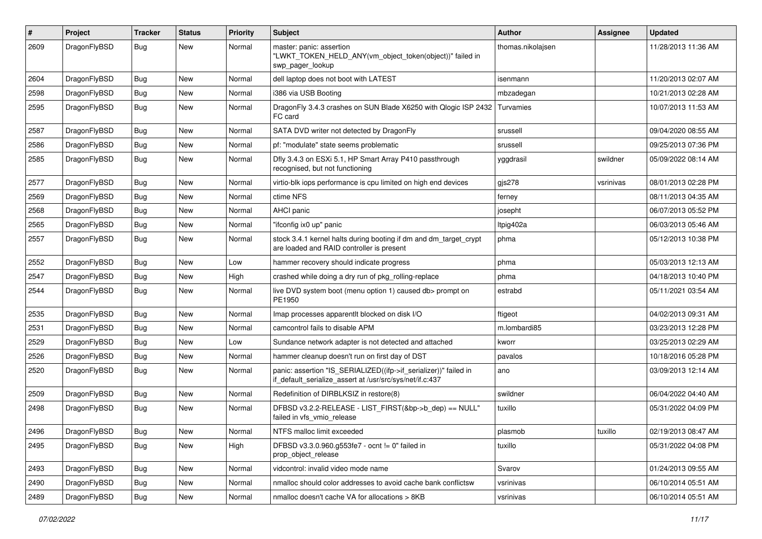| $\sharp$ | Project      | <b>Tracker</b> | <b>Status</b> | <b>Priority</b> | Subject                                                                                                                      | <b>Author</b>     | <b>Assignee</b> | <b>Updated</b>      |
|----------|--------------|----------------|---------------|-----------------|------------------------------------------------------------------------------------------------------------------------------|-------------------|-----------------|---------------------|
| 2609     | DragonFlyBSD | Bug            | New           | Normal          | master: panic: assertion<br>"LWKT TOKEN HELD ANY(vm object token(object))" failed in<br>swp_pager_lookup                     | thomas.nikolajsen |                 | 11/28/2013 11:36 AM |
| 2604     | DragonFlyBSD | Bug            | New           | Normal          | dell laptop does not boot with LATEST                                                                                        | isenmann          |                 | 11/20/2013 02:07 AM |
| 2598     | DragonFlyBSD | Bug            | <b>New</b>    | Normal          | i386 via USB Booting                                                                                                         | mbzadegan         |                 | 10/21/2013 02:28 AM |
| 2595     | DragonFlyBSD | Bug            | <b>New</b>    | Normal          | Dragon Fly 3.4.3 crashes on SUN Blade X6250 with Qlogic ISP 2432<br>FC card                                                  | Turvamies         |                 | 10/07/2013 11:53 AM |
| 2587     | DragonFlyBSD | Bug            | New           | Normal          | SATA DVD writer not detected by DragonFly                                                                                    | srussell          |                 | 09/04/2020 08:55 AM |
| 2586     | DragonFlyBSD | Bug            | New           | Normal          | pf: "modulate" state seems problematic                                                                                       | srussell          |                 | 09/25/2013 07:36 PM |
| 2585     | DragonFlyBSD | Bug            | <b>New</b>    | Normal          | Dfly 3.4.3 on ESXi 5.1, HP Smart Array P410 passthrough<br>recognised, but not functioning                                   | yggdrasil         | swildner        | 05/09/2022 08:14 AM |
| 2577     | DragonFlyBSD | Bug            | New           | Normal          | virtio-blk iops performance is cpu limited on high end devices                                                               | gis278            | vsrinivas       | 08/01/2013 02:28 PM |
| 2569     | DragonFlyBSD | Bug            | New           | Normal          | ctime NFS                                                                                                                    | ferney            |                 | 08/11/2013 04:35 AM |
| 2568     | DragonFlyBSD | Bug            | <b>New</b>    | Normal          | <b>AHCI</b> panic                                                                                                            | josepht           |                 | 06/07/2013 05:52 PM |
| 2565     | DragonFlyBSD | Bug            | New           | Normal          | "ifconfig ix0 up" panic                                                                                                      | Itpig402a         |                 | 06/03/2013 05:46 AM |
| 2557     | DragonFlyBSD | Bug            | <b>New</b>    | Normal          | stock 3.4.1 kernel halts during booting if dm and dm_target_crypt<br>are loaded and RAID controller is present               | phma              |                 | 05/12/2013 10:38 PM |
| 2552     | DragonFlyBSD | Bug            | <b>New</b>    | Low             | hammer recovery should indicate progress                                                                                     | phma              |                 | 05/03/2013 12:13 AM |
| 2547     | DragonFlyBSD | Bug            | New           | High            | crashed while doing a dry run of pkg rolling-replace                                                                         | phma              |                 | 04/18/2013 10:40 PM |
| 2544     | DragonFlyBSD | Bug            | <b>New</b>    | Normal          | live DVD system boot (menu option 1) caused db> prompt on<br>PE1950                                                          | estrabd           |                 | 05/11/2021 03:54 AM |
| 2535     | DragonFlyBSD | Bug            | <b>New</b>    | Normal          | Imap processes apparentlt blocked on disk I/O                                                                                | ftigeot           |                 | 04/02/2013 09:31 AM |
| 2531     | DragonFlyBSD | Bug            | New           | Normal          | camcontrol fails to disable APM                                                                                              | m.lombardi85      |                 | 03/23/2013 12:28 PM |
| 2529     | DragonFlyBSD | Bug            | <b>New</b>    | Low             | Sundance network adapter is not detected and attached                                                                        | kworr             |                 | 03/25/2013 02:29 AM |
| 2526     | DragonFlyBSD | Bug            | New           | Normal          | hammer cleanup doesn't run on first day of DST                                                                               | pavalos           |                 | 10/18/2016 05:28 PM |
| 2520     | DragonFlyBSD | Bug            | New           | Normal          | panic: assertion "IS_SERIALIZED((ifp->if_serializer))" failed in<br>if_default_serialize_assert at /usr/src/sys/net/if.c:437 | ano               |                 | 03/09/2013 12:14 AM |
| 2509     | DragonFlyBSD | Bug            | New           | Normal          | Redefinition of DIRBLKSIZ in restore(8)                                                                                      | swildner          |                 | 06/04/2022 04:40 AM |
| 2498     | DragonFlyBSD | Bug            | New           | Normal          | DFBSD v3.2.2-RELEASE - LIST_FIRST(&bp->b_dep) == NULL"<br>failed in vfs vmio release                                         | tuxillo           |                 | 05/31/2022 04:09 PM |
| 2496     | DragonFlyBSD | <b>Bug</b>     | New           | Normal          | NTFS malloc limit exceeded                                                                                                   | plasmob           | tuxillo         | 02/19/2013 08:47 AM |
| 2495     | DragonFlyBSD | Bug            | New           | High            | DFBSD v3.3.0.960.g553fe7 - ocnt != 0" failed in<br>prop_object_release                                                       | tuxillo           |                 | 05/31/2022 04:08 PM |
| 2493     | DragonFlyBSD | <b>Bug</b>     | New           | Normal          | vidcontrol: invalid video mode name                                                                                          | Svarov            |                 | 01/24/2013 09:55 AM |
| 2490     | DragonFlyBSD | Bug            | New           | Normal          | nmalloc should color addresses to avoid cache bank conflictsw                                                                | vsrinivas         |                 | 06/10/2014 05:51 AM |
| 2489     | DragonFlyBSD | <b>Bug</b>     | New           | Normal          | nmalloc doesn't cache VA for allocations > 8KB                                                                               | vsrinivas         |                 | 06/10/2014 05:51 AM |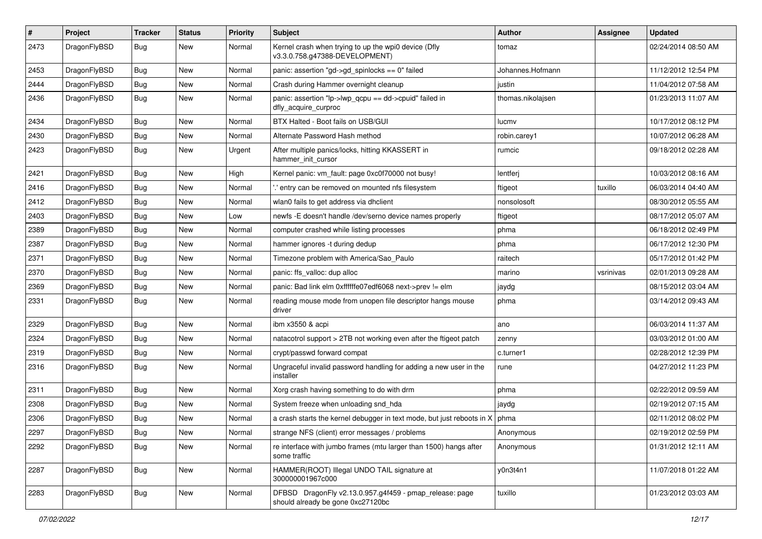| $\#$ | Project      | <b>Tracker</b> | <b>Status</b> | <b>Priority</b> | Subject                                                                                      | <b>Author</b>     | Assignee  | <b>Updated</b>      |
|------|--------------|----------------|---------------|-----------------|----------------------------------------------------------------------------------------------|-------------------|-----------|---------------------|
| 2473 | DragonFlyBSD | Bug            | New           | Normal          | Kernel crash when trying to up the wpi0 device (Dfly<br>v3.3.0.758.g47388-DEVELOPMENT)       | tomaz             |           | 02/24/2014 08:50 AM |
| 2453 | DragonFlyBSD | Bug            | New           | Normal          | panic: assertion "gd->gd_spinlocks == 0" failed                                              | Johannes.Hofmann  |           | 11/12/2012 12:54 PM |
| 2444 | DragonFlyBSD | Bug            | <b>New</b>    | Normal          | Crash during Hammer overnight cleanup                                                        | justin            |           | 11/04/2012 07:58 AM |
| 2436 | DragonFlyBSD | Bug            | New           | Normal          | panic: assertion "lp->lwp_qcpu == dd->cpuid" failed in<br>dfly_acquire_curproc               | thomas.nikolajsen |           | 01/23/2013 11:07 AM |
| 2434 | DragonFlyBSD | Bug            | <b>New</b>    | Normal          | BTX Halted - Boot fails on USB/GUI                                                           | lucmv             |           | 10/17/2012 08:12 PM |
| 2430 | DragonFlyBSD | Bug            | New           | Normal          | Alternate Password Hash method                                                               | robin.carey1      |           | 10/07/2012 06:28 AM |
| 2423 | DragonFlyBSD | Bug            | New           | Urgent          | After multiple panics/locks, hitting KKASSERT in<br>hammer init cursor                       | rumcic            |           | 09/18/2012 02:28 AM |
| 2421 | DragonFlyBSD | <b>Bug</b>     | New           | High            | Kernel panic: vm fault: page 0xc0f70000 not busy!                                            | lentferj          |           | 10/03/2012 08:16 AM |
| 2416 | DragonFlyBSD | Bug            | <b>New</b>    | Normal          | ".' entry can be removed on mounted nfs filesystem                                           | ftigeot           | tuxillo   | 06/03/2014 04:40 AM |
| 2412 | DragonFlyBSD | <b>Bug</b>     | <b>New</b>    | Normal          | wlan0 fails to get address via dhclient                                                      | nonsolosoft       |           | 08/30/2012 05:55 AM |
| 2403 | DragonFlyBSD | <b>Bug</b>     | <b>New</b>    | Low             | newfs -E doesn't handle /dev/serno device names properly                                     | ftigeot           |           | 08/17/2012 05:07 AM |
| 2389 | DragonFlyBSD | <b>Bug</b>     | New           | Normal          | computer crashed while listing processes                                                     | phma              |           | 06/18/2012 02:49 PM |
| 2387 | DragonFlyBSD | <b>Bug</b>     | <b>New</b>    | Normal          | hammer ignores -t during dedup                                                               | phma              |           | 06/17/2012 12:30 PM |
| 2371 | DragonFlyBSD | <b>Bug</b>     | New           | Normal          | Timezone problem with America/Sao_Paulo                                                      | raitech           |           | 05/17/2012 01:42 PM |
| 2370 | DragonFlyBSD | Bug            | New           | Normal          | panic: ffs_valloc: dup alloc                                                                 | marino            | vsrinivas | 02/01/2013 09:28 AM |
| 2369 | DragonFlyBSD | <b>Bug</b>     | New           | Normal          | panic: Bad link elm 0xffffffe07edf6068 next->prev != elm                                     | jaydg             |           | 08/15/2012 03:04 AM |
| 2331 | DragonFlyBSD | <b>Bug</b>     | <b>New</b>    | Normal          | reading mouse mode from unopen file descriptor hangs mouse<br>driver                         | phma              |           | 03/14/2012 09:43 AM |
| 2329 | DragonFlyBSD | <b>Bug</b>     | New           | Normal          | ibm x3550 & acpi                                                                             | ano               |           | 06/03/2014 11:37 AM |
| 2324 | DragonFlyBSD | <b>Bug</b>     | New           | Normal          | natacotrol support > 2TB not working even after the ftigeot patch                            | zenny             |           | 03/03/2012 01:00 AM |
| 2319 | DragonFlyBSD | <b>Bug</b>     | New           | Normal          | crypt/passwd forward compat                                                                  | c.turner1         |           | 02/28/2012 12:39 PM |
| 2316 | DragonFlyBSD | Bug            | New           | Normal          | Ungraceful invalid password handling for adding a new user in the<br>installer               | rune              |           | 04/27/2012 11:23 PM |
| 2311 | DragonFlyBSD | <b>Bug</b>     | New           | Normal          | Xorg crash having something to do with drm                                                   | phma              |           | 02/22/2012 09:59 AM |
| 2308 | DragonFlyBSD | <b>Bug</b>     | New           | Normal          | System freeze when unloading snd_hda                                                         | jaydg             |           | 02/19/2012 07:15 AM |
| 2306 | DragonFlyBSD | Bug            | New           | Normal          | a crash starts the kernel debugger in text mode, but just reboots in X                       | phma              |           | 02/11/2012 08:02 PM |
| 2297 | DragonFlyBSD | <b>Bug</b>     | New           | Normal          | strange NFS (client) error messages / problems                                               | Anonymous         |           | 02/19/2012 02:59 PM |
| 2292 | DragonFlyBSD | Bug            | New           | Normal          | re interface with jumbo frames (mtu larger than 1500) hangs after<br>some traffic            | Anonymous         |           | 01/31/2012 12:11 AM |
| 2287 | DragonFlyBSD | <b>Bug</b>     | New           | Normal          | HAMMER(ROOT) Illegal UNDO TAIL signature at<br>300000001967c000                              | y0n3t4n1          |           | 11/07/2018 01:22 AM |
| 2283 | DragonFlyBSD | <b>Bug</b>     | New           | Normal          | DFBSD DragonFly v2.13.0.957.g4f459 - pmap_release: page<br>should already be gone 0xc27120bc | tuxillo           |           | 01/23/2012 03:03 AM |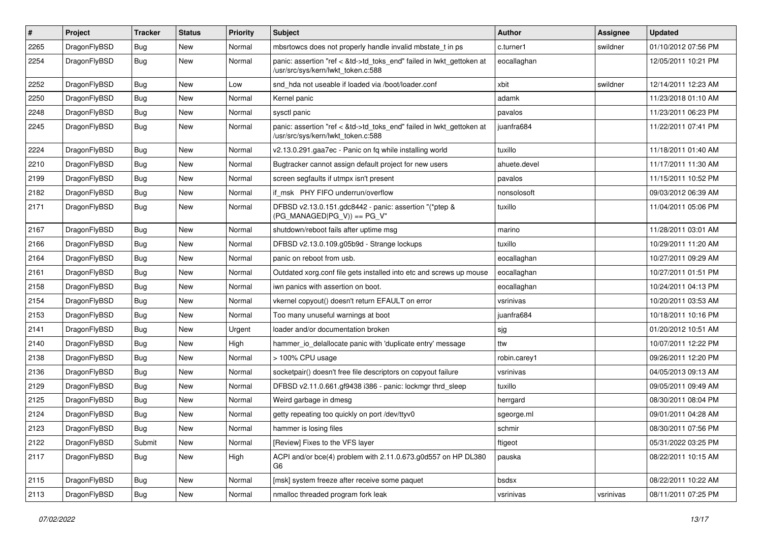| #      | Project      | <b>Tracker</b> | <b>Status</b> | <b>Priority</b> | Subject                                                                                                    | Author       | <b>Assignee</b> | <b>Updated</b>      |
|--------|--------------|----------------|---------------|-----------------|------------------------------------------------------------------------------------------------------------|--------------|-----------------|---------------------|
| 2265   | DragonFlyBSD | Bug            | <b>New</b>    | Normal          | mbsrtowcs does not properly handle invalid mbstate_t in ps                                                 | c.turner1    | swildner        | 01/10/2012 07:56 PM |
| 2254   | DragonFlyBSD | Bug            | New           | Normal          | panic: assertion "ref < &td->td_toks_end" failed in lwkt_gettoken at<br>/usr/src/sys/kern/lwkt_token.c:588 | eocallaghan  |                 | 12/05/2011 10:21 PM |
| 2252   | DragonFlyBSD | <b>Bug</b>     | <b>New</b>    | Low             | snd hda not useable if loaded via /boot/loader.conf                                                        | xbit         | swildner        | 12/14/2011 12:23 AM |
| 2250   | DragonFlyBSD | <b>Bug</b>     | New           | Normal          | Kernel panic                                                                                               | adamk        |                 | 11/23/2018 01:10 AM |
| 2248   | DragonFlyBSD | <b>Bug</b>     | New           | Normal          | sysctl panic                                                                                               | pavalos      |                 | 11/23/2011 06:23 PM |
| 2245   | DragonFlyBSD | Bug            | New           | Normal          | panic: assertion "ref < &td->td_toks_end" failed in lwkt_gettoken at<br>/usr/src/sys/kern/lwkt_token.c:588 | juanfra684   |                 | 11/22/2011 07:41 PM |
| 2224   | DragonFlyBSD | Bug            | <b>New</b>    | Normal          | v2.13.0.291.gaa7ec - Panic on fq while installing world                                                    | tuxillo      |                 | 11/18/2011 01:40 AM |
| 2210   | DragonFlyBSD | <b>Bug</b>     | <b>New</b>    | Normal          | Bugtracker cannot assign default project for new users                                                     | ahuete.devel |                 | 11/17/2011 11:30 AM |
| 2199   | DragonFlyBSD | Bug            | New           | Normal          | screen segfaults if utmpx isn't present                                                                    | pavalos      |                 | 11/15/2011 10:52 PM |
| 2182   | DragonFlyBSD | Bug            | <b>New</b>    | Normal          | if_msk PHY FIFO underrun/overflow                                                                          | nonsolosoft  |                 | 09/03/2012 06:39 AM |
| 2171   | DragonFlyBSD | Bug            | New           | Normal          | DFBSD v2.13.0.151.gdc8442 - panic: assertion "(*ptep &<br>(PG MANAGED PG V)) == PG V"                      | tuxillo      |                 | 11/04/2011 05:06 PM |
| 2167   | DragonFlyBSD | Bug            | <b>New</b>    | Normal          | shutdown/reboot fails after uptime msg                                                                     | marino       |                 | 11/28/2011 03:01 AM |
| 2166   | DragonFlyBSD | <b>Bug</b>     | New           | Normal          | DFBSD v2.13.0.109.g05b9d - Strange lockups                                                                 | tuxillo      |                 | 10/29/2011 11:20 AM |
| 2164   | DragonFlyBSD | Bug            | <b>New</b>    | Normal          | panic on reboot from usb.                                                                                  | eocallaghan  |                 | 10/27/2011 09:29 AM |
| 2161   | DragonFlyBSD | <b>Bug</b>     | <b>New</b>    | Normal          | Outdated xorg.conf file gets installed into etc and screws up mouse                                        | eocallaghan  |                 | 10/27/2011 01:51 PM |
| 2158   | DragonFlyBSD | <b>Bug</b>     | New           | Normal          | iwn panics with assertion on boot.                                                                         | eocallaghan  |                 | 10/24/2011 04:13 PM |
| 2154   | DragonFlyBSD | Bug            | <b>New</b>    | Normal          | vkernel copyout() doesn't return EFAULT on error                                                           | vsrinivas    |                 | 10/20/2011 03:53 AM |
| 2153   | DragonFlyBSD | Bug            | New           | Normal          | Too many unuseful warnings at boot                                                                         | juanfra684   |                 | 10/18/2011 10:16 PM |
| $2141$ | DragonFlyBSD | Bug            | <b>New</b>    | Urgent          | loader and/or documentation broken                                                                         | sjg          |                 | 01/20/2012 10:51 AM |
| 2140   | DragonFlyBSD | Bug            | <b>New</b>    | High            | hammer_io_delallocate panic with 'duplicate entry' message                                                 | ttw          |                 | 10/07/2011 12:22 PM |
| 2138   | DragonFlyBSD | Bug            | <b>New</b>    | Normal          | > 100% CPU usage                                                                                           | robin.carey1 |                 | 09/26/2011 12:20 PM |
| 2136   | DragonFlyBSD | Bug            | <b>New</b>    | Normal          | socketpair() doesn't free file descriptors on copyout failure                                              | vsrinivas    |                 | 04/05/2013 09:13 AM |
| 2129   | DragonFlyBSD | <b>Bug</b>     | New           | Normal          | DFBSD v2.11.0.661.gf9438 i386 - panic: lockmgr thrd sleep                                                  | tuxillo      |                 | 09/05/2011 09:49 AM |
| 2125   | DragonFlyBSD | Bug            | New           | Normal          | Weird garbage in dmesg                                                                                     | herrgard     |                 | 08/30/2011 08:04 PM |
| 2124   | DragonFlyBSD | <b>Bug</b>     | <b>New</b>    | Normal          | getty repeating too quickly on port /dev/ttyv0                                                             | sgeorge.ml   |                 | 09/01/2011 04:28 AM |
| 2123   | DragonFlyBSD | Bug            | New           | Normal          | hammer is losing files                                                                                     | schmir       |                 | 08/30/2011 07:56 PM |
| 2122   | DragonFlyBSD | Submit         | New           | Normal          | [Review] Fixes to the VFS layer                                                                            | ftigeot      |                 | 05/31/2022 03:25 PM |
| 2117   | DragonFlyBSD | <b>Bug</b>     | New           | High            | ACPI and/or bce(4) problem with 2.11.0.673.g0d557 on HP DL380<br>G6                                        | pauska       |                 | 08/22/2011 10:15 AM |
| 2115   | DragonFlyBSD | Bug            | New           | Normal          | [msk] system freeze after receive some paquet                                                              | bsdsx        |                 | 08/22/2011 10:22 AM |
| 2113   | DragonFlyBSD | Bug            | New           | Normal          | nmalloc threaded program fork leak                                                                         | vsrinivas    | vsrinivas       | 08/11/2011 07:25 PM |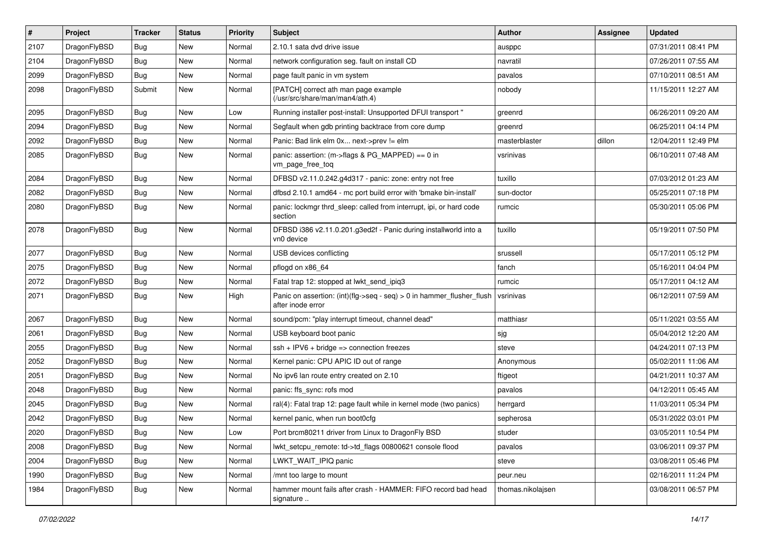| $\vert$ # | Project      | <b>Tracker</b> | <b>Status</b> | <b>Priority</b> | <b>Subject</b>                                                                                | <b>Author</b>     | Assignee | <b>Updated</b>      |
|-----------|--------------|----------------|---------------|-----------------|-----------------------------------------------------------------------------------------------|-------------------|----------|---------------------|
| 2107      | DragonFlyBSD | <b>Bug</b>     | <b>New</b>    | Normal          | 2.10.1 sata dvd drive issue                                                                   | ausppc            |          | 07/31/2011 08:41 PM |
| 2104      | DragonFlyBSD | Bug            | <b>New</b>    | Normal          | network configuration seg. fault on install CD                                                | navratil          |          | 07/26/2011 07:55 AM |
| 2099      | DragonFlyBSD | <b>Bug</b>     | <b>New</b>    | Normal          | page fault panic in vm system                                                                 | pavalos           |          | 07/10/2011 08:51 AM |
| 2098      | DragonFlyBSD | Submit         | New           | Normal          | [PATCH] correct ath man page example<br>(/usr/src/share/man/man4/ath.4)                       | nobody            |          | 11/15/2011 12:27 AM |
| 2095      | DragonFlyBSD | <b>Bug</b>     | New           | Low             | Running installer post-install: Unsupported DFUI transport "                                  | greenrd           |          | 06/26/2011 09:20 AM |
| 2094      | DragonFlyBSD | Bug            | <b>New</b>    | Normal          | Segfault when gdb printing backtrace from core dump                                           | greenrd           |          | 06/25/2011 04:14 PM |
| 2092      | DragonFlyBSD | <b>Bug</b>     | <b>New</b>    | Normal          | Panic: Bad link elm 0x next->prev != elm                                                      | masterblaster     | dillon   | 12/04/2011 12:49 PM |
| 2085      | DragonFlyBSD | Bug            | <b>New</b>    | Normal          | panic: assertion: (m->flags & PG_MAPPED) == 0 in<br>vm_page_free_toq                          | vsrinivas         |          | 06/10/2011 07:48 AM |
| 2084      | DragonFlyBSD | <b>Bug</b>     | <b>New</b>    | Normal          | DFBSD v2.11.0.242.g4d317 - panic: zone: entry not free                                        | tuxillo           |          | 07/03/2012 01:23 AM |
| 2082      | DragonFlyBSD | Bug            | New           | Normal          | dfbsd 2.10.1 amd64 - mc port build error with 'bmake bin-install'                             | sun-doctor        |          | 05/25/2011 07:18 PM |
| 2080      | DragonFlyBSD | Bug            | <b>New</b>    | Normal          | panic: lockmgr thrd_sleep: called from interrupt, ipi, or hard code<br>section                | rumcic            |          | 05/30/2011 05:06 PM |
| 2078      | DragonFlyBSD | Bug            | <b>New</b>    | Normal          | DFBSD i386 v2.11.0.201.g3ed2f - Panic during installworld into a<br>vn0 device                | tuxillo           |          | 05/19/2011 07:50 PM |
| 2077      | DragonFlyBSD | <b>Bug</b>     | <b>New</b>    | Normal          | USB devices conflicting                                                                       | srussell          |          | 05/17/2011 05:12 PM |
| 2075      | DragonFlyBSD | Bug            | <b>New</b>    | Normal          | pflogd on x86_64                                                                              | fanch             |          | 05/16/2011 04:04 PM |
| 2072      | DragonFlyBSD | <b>Bug</b>     | <b>New</b>    | Normal          | Fatal trap 12: stopped at lwkt_send_ipiq3                                                     | rumcic            |          | 05/17/2011 04:12 AM |
| 2071      | DragonFlyBSD | Bug            | New           | High            | Panic on assertion: $(int)(flag->seq - seq) > 0$ in hammer flusher flush<br>after inode error | vsrinivas         |          | 06/12/2011 07:59 AM |
| 2067      | DragonFlyBSD | <b>Bug</b>     | <b>New</b>    | Normal          | sound/pcm: "play interrupt timeout, channel dead"                                             | matthiasr         |          | 05/11/2021 03:55 AM |
| 2061      | DragonFlyBSD | Bug            | <b>New</b>    | Normal          | USB keyboard boot panic                                                                       | sjg               |          | 05/04/2012 12:20 AM |
| 2055      | DragonFlyBSD | Bug            | <b>New</b>    | Normal          | $ssh + IPV6 + bridge \Rightarrow connection freezes$                                          | steve             |          | 04/24/2011 07:13 PM |
| 2052      | DragonFlyBSD | Bug            | <b>New</b>    | Normal          | Kernel panic: CPU APIC ID out of range                                                        | Anonymous         |          | 05/02/2011 11:06 AM |
| 2051      | DragonFlyBSD | Bug            | <b>New</b>    | Normal          | No ipv6 lan route entry created on 2.10                                                       | ftigeot           |          | 04/21/2011 10:37 AM |
| 2048      | DragonFlyBSD | Bug            | <b>New</b>    | Normal          | panic: ffs_sync: rofs mod                                                                     | pavalos           |          | 04/12/2011 05:45 AM |
| 2045      | DragonFlyBSD | Bug            | <b>New</b>    | Normal          | ral(4): Fatal trap 12: page fault while in kernel mode (two panics)                           | herrgard          |          | 11/03/2011 05:34 PM |
| 2042      | DragonFlyBSD | <b>Bug</b>     | <b>New</b>    | Normal          | kernel panic, when run boot0cfg                                                               | sepherosa         |          | 05/31/2022 03:01 PM |
| 2020      | DragonFlyBSD | <b>Bug</b>     | New           | Low             | Port brcm80211 driver from Linux to DragonFly BSD                                             | studer            |          | 03/05/2011 10:54 PM |
| 2008      | DragonFlyBSD | Bug            | <b>New</b>    | Normal          | lwkt setcpu remote: td->td flags 00800621 console flood                                       | pavalos           |          | 03/06/2011 09:37 PM |
| 2004      | DragonFlyBSD | <b>Bug</b>     | New           | Normal          | LWKT WAIT IPIQ panic                                                                          | steve             |          | 03/08/2011 05:46 PM |
| 1990      | DragonFlyBSD | <b>Bug</b>     | New           | Normal          | /mnt too large to mount                                                                       | peur.neu          |          | 02/16/2011 11:24 PM |
| 1984      | DragonFlyBSD | Bug            | New           | Normal          | hammer mount fails after crash - HAMMER: FIFO record bad head<br>signature                    | thomas.nikolajsen |          | 03/08/2011 06:57 PM |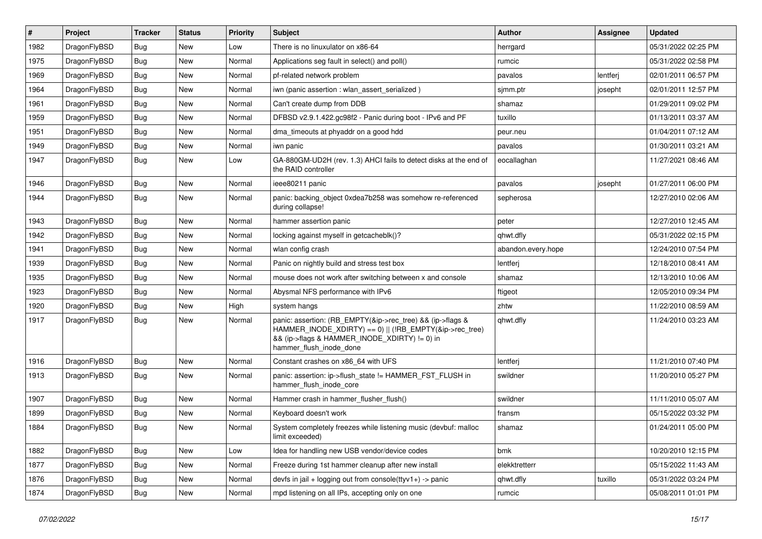| $\vert$ # | Project      | <b>Tracker</b> | <b>Status</b> | <b>Priority</b> | Subject                                                                                                                                                                                           | <b>Author</b>      | Assignee | <b>Updated</b>      |
|-----------|--------------|----------------|---------------|-----------------|---------------------------------------------------------------------------------------------------------------------------------------------------------------------------------------------------|--------------------|----------|---------------------|
| 1982      | DragonFlyBSD | <b>Bug</b>     | New           | Low             | There is no linuxulator on x86-64                                                                                                                                                                 | herrgard           |          | 05/31/2022 02:25 PM |
| 1975      | DragonFlyBSD | Bug            | New           | Normal          | Applications seg fault in select() and poll()                                                                                                                                                     | rumcic             |          | 05/31/2022 02:58 PM |
| 1969      | DragonFlyBSD | <b>Bug</b>     | New           | Normal          | pf-related network problem                                                                                                                                                                        | pavalos            | lentferj | 02/01/2011 06:57 PM |
| 1964      | DragonFlyBSD | <b>Bug</b>     | New           | Normal          | iwn (panic assertion : wlan assert serialized)                                                                                                                                                    | sjmm.ptr           | josepht  | 02/01/2011 12:57 PM |
| 1961      | DragonFlyBSD | <b>Bug</b>     | New           | Normal          | Can't create dump from DDB                                                                                                                                                                        | shamaz             |          | 01/29/2011 09:02 PM |
| 1959      | DragonFlyBSD | <b>Bug</b>     | New           | Normal          | DFBSD v2.9.1.422.gc98f2 - Panic during boot - IPv6 and PF                                                                                                                                         | tuxillo            |          | 01/13/2011 03:37 AM |
| 1951      | DragonFlyBSD | <b>Bug</b>     | <b>New</b>    | Normal          | dma timeouts at phyaddr on a good hdd                                                                                                                                                             | peur.neu           |          | 01/04/2011 07:12 AM |
| 1949      | DragonFlyBSD | <b>Bug</b>     | New           | Normal          | iwn panic                                                                                                                                                                                         | pavalos            |          | 01/30/2011 03:21 AM |
| 1947      | DragonFlyBSD | Bug            | New           | Low             | GA-880GM-UD2H (rev. 1.3) AHCI fails to detect disks at the end of<br>the RAID controller                                                                                                          | eocallaghan        |          | 11/27/2021 08:46 AM |
| 1946      | DragonFlyBSD | <b>Bug</b>     | New           | Normal          | ieee80211 panic                                                                                                                                                                                   | pavalos            | josepht  | 01/27/2011 06:00 PM |
| 1944      | DragonFlyBSD | Bug            | New           | Normal          | panic: backing object 0xdea7b258 was somehow re-referenced<br>during collapse!                                                                                                                    | sepherosa          |          | 12/27/2010 02:06 AM |
| 1943      | DragonFlyBSD | Bug            | New           | Normal          | hammer assertion panic                                                                                                                                                                            | peter              |          | 12/27/2010 12:45 AM |
| 1942      | DragonFlyBSD | <b>Bug</b>     | <b>New</b>    | Normal          | locking against myself in getcacheblk()?                                                                                                                                                          | qhwt.dfly          |          | 05/31/2022 02:15 PM |
| 1941      | DragonFlyBSD | <b>Bug</b>     | New           | Normal          | wlan config crash                                                                                                                                                                                 | abandon.every.hope |          | 12/24/2010 07:54 PM |
| 1939      | DragonFlyBSD | <b>Bug</b>     | New           | Normal          | Panic on nightly build and stress test box                                                                                                                                                        | lentferj           |          | 12/18/2010 08:41 AM |
| 1935      | DragonFlyBSD | <b>Bug</b>     | New           | Normal          | mouse does not work after switching between x and console                                                                                                                                         | shamaz             |          | 12/13/2010 10:06 AM |
| 1923      | DragonFlyBSD | Bug            | New           | Normal          | Abysmal NFS performance with IPv6                                                                                                                                                                 | ftigeot            |          | 12/05/2010 09:34 PM |
| 1920      | DragonFlyBSD | <b>Bug</b>     | New           | High            | system hangs                                                                                                                                                                                      | zhtw               |          | 11/22/2010 08:59 AM |
| 1917      | DragonFlyBSD | <b>Bug</b>     | New           | Normal          | panic: assertion: (RB_EMPTY(&ip->rec_tree) && (ip->flags &<br>HAMMER_INODE_XDIRTY) == 0)    (!RB_EMPTY(&ip->rec_tree)<br>&& (ip->flags & HAMMER_INODE_XDIRTY) != 0) in<br>hammer_flush_inode_done | qhwt.dfly          |          | 11/24/2010 03:23 AM |
| 1916      | DragonFlyBSD | <b>Bug</b>     | New           | Normal          | Constant crashes on x86_64 with UFS                                                                                                                                                               | lentferj           |          | 11/21/2010 07:40 PM |
| 1913      | DragonFlyBSD | <b>Bug</b>     | <b>New</b>    | Normal          | panic: assertion: ip->flush_state != HAMMER_FST_FLUSH in<br>hammer_flush_inode_core                                                                                                               | swildner           |          | 11/20/2010 05:27 PM |
| 1907      | DragonFlyBSD | <b>Bug</b>     | New           | Normal          | Hammer crash in hammer_flusher_flush()                                                                                                                                                            | swildner           |          | 11/11/2010 05:07 AM |
| 1899      | DragonFlyBSD | <b>Bug</b>     | <b>New</b>    | Normal          | Keyboard doesn't work                                                                                                                                                                             | fransm             |          | 05/15/2022 03:32 PM |
| 1884      | DragonFlyBSD | Bug            | <b>New</b>    | Normal          | System completely freezes while listening music (devbuf: malloc<br>limit exceeded)                                                                                                                | shamaz             |          | 01/24/2011 05:00 PM |
| 1882      | DragonFlyBSD | Bug            | <b>New</b>    | Low             | Idea for handling new USB vendor/device codes                                                                                                                                                     | bmk                |          | 10/20/2010 12:15 PM |
| 1877      | DragonFlyBSD | Bug            | New           | Normal          | Freeze during 1st hammer cleanup after new install                                                                                                                                                | elekktretterr      |          | 05/15/2022 11:43 AM |
| 1876      | DragonFlyBSD | Bug            | New           | Normal          | devfs in jail + logging out from console(ttyv1+) -> panic                                                                                                                                         | qhwt.dfly          | tuxillo  | 05/31/2022 03:24 PM |
| 1874      | DragonFlyBSD | <b>Bug</b>     | New           | Normal          | mpd listening on all IPs, accepting only on one                                                                                                                                                   | rumcic             |          | 05/08/2011 01:01 PM |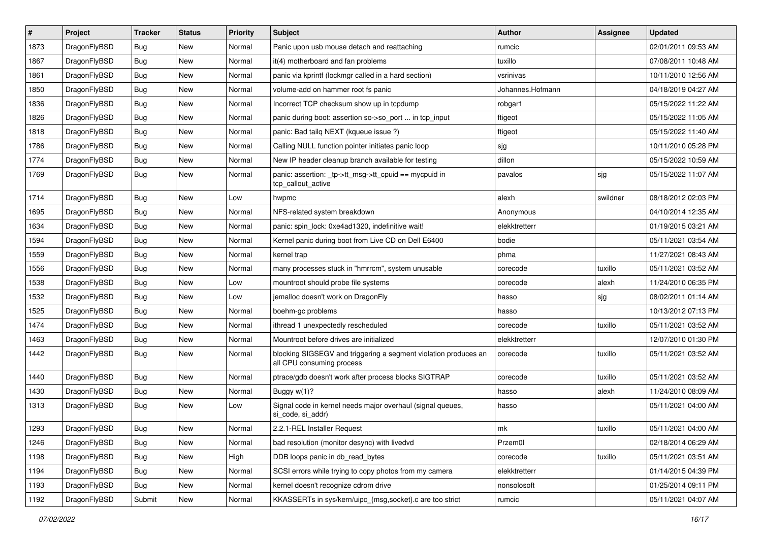| $\sharp$ | Project      | <b>Tracker</b> | <b>Status</b> | <b>Priority</b> | Subject                                                                                      | <b>Author</b>    | Assignee | <b>Updated</b>      |
|----------|--------------|----------------|---------------|-----------------|----------------------------------------------------------------------------------------------|------------------|----------|---------------------|
| 1873     | DragonFlyBSD | Bug            | New           | Normal          | Panic upon usb mouse detach and reattaching                                                  | rumcic           |          | 02/01/2011 09:53 AM |
| 1867     | DragonFlyBSD | Bug            | New           | Normal          | it(4) motherboard and fan problems                                                           | tuxillo          |          | 07/08/2011 10:48 AM |
| 1861     | DragonFlyBSD | <b>Bug</b>     | New           | Normal          | panic via kprintf (lockmgr called in a hard section)                                         | vsrinivas        |          | 10/11/2010 12:56 AM |
| 1850     | DragonFlyBSD | Bug            | New           | Normal          | volume-add on hammer root fs panic                                                           | Johannes.Hofmann |          | 04/18/2019 04:27 AM |
| 1836     | DragonFlyBSD | Bug            | <b>New</b>    | Normal          | Incorrect TCP checksum show up in tcpdump                                                    | robgar1          |          | 05/15/2022 11:22 AM |
| 1826     | DragonFlyBSD | Bug            | <b>New</b>    | Normal          | panic during boot: assertion so->so_port  in tcp_input                                       | ftigeot          |          | 05/15/2022 11:05 AM |
| 1818     | DragonFlyBSD | Bug            | New           | Normal          | panic: Bad tailg NEXT (kqueue issue ?)                                                       | ftigeot          |          | 05/15/2022 11:40 AM |
| 1786     | DragonFlyBSD | Bug            | <b>New</b>    | Normal          | Calling NULL function pointer initiates panic loop                                           | sjg              |          | 10/11/2010 05:28 PM |
| 1774     | DragonFlyBSD | <b>Bug</b>     | New           | Normal          | New IP header cleanup branch available for testing                                           | dillon           |          | 05/15/2022 10:59 AM |
| 1769     | DragonFlyBSD | Bug            | New           | Normal          | panic: assertion: _tp->tt_msg->tt_cpuid == mycpuid in<br>tcp_callout_active                  | pavalos          | sjg      | 05/15/2022 11:07 AM |
| 1714     | DragonFlyBSD | Bug            | <b>New</b>    | Low             | hwpmc                                                                                        | alexh            | swildner | 08/18/2012 02:03 PM |
| 1695     | DragonFlyBSD | Bug            | New           | Normal          | NFS-related system breakdown                                                                 | Anonymous        |          | 04/10/2014 12:35 AM |
| 1634     | DragonFlyBSD | Bug            | <b>New</b>    | Normal          | panic: spin lock: 0xe4ad1320, indefinitive wait!                                             | elekktretterr    |          | 01/19/2015 03:21 AM |
| 1594     | DragonFlyBSD | Bug            | New           | Normal          | Kernel panic during boot from Live CD on Dell E6400                                          | bodie            |          | 05/11/2021 03:54 AM |
| 1559     | DragonFlyBSD | <b>Bug</b>     | <b>New</b>    | Normal          | kernel trap                                                                                  | phma             |          | 11/27/2021 08:43 AM |
| 1556     | DragonFlyBSD | <b>Bug</b>     | <b>New</b>    | Normal          | many processes stuck in "hmrrcm", system unusable                                            | corecode         | tuxillo  | 05/11/2021 03:52 AM |
| 1538     | DragonFlyBSD | Bug            | <b>New</b>    | Low             | mountroot should probe file systems                                                          | corecode         | alexh    | 11/24/2010 06:35 PM |
| 1532     | DragonFlyBSD | <b>Bug</b>     | New           | Low             | jemalloc doesn't work on DragonFly                                                           | hasso            | sjg      | 08/02/2011 01:14 AM |
| 1525     | DragonFlyBSD | <b>Bug</b>     | New           | Normal          | boehm-gc problems                                                                            | hasso            |          | 10/13/2012 07:13 PM |
| 1474     | DragonFlyBSD | <b>Bug</b>     | New           | Normal          | ithread 1 unexpectedly rescheduled                                                           | corecode         | tuxillo  | 05/11/2021 03:52 AM |
| 1463     | DragonFlyBSD | <b>Bug</b>     | New           | Normal          | Mountroot before drives are initialized                                                      | elekktretterr    |          | 12/07/2010 01:30 PM |
| 1442     | DragonFlyBSD | Bug            | New           | Normal          | blocking SIGSEGV and triggering a segment violation produces an<br>all CPU consuming process | corecode         | tuxillo  | 05/11/2021 03:52 AM |
| 1440     | DragonFlyBSD | Bug            | <b>New</b>    | Normal          | ptrace/gdb doesn't work after process blocks SIGTRAP                                         | corecode         | tuxillo  | 05/11/2021 03:52 AM |
| 1430     | DragonFlyBSD | <b>Bug</b>     | New           | Normal          | Buggy w(1)?                                                                                  | hasso            | alexh    | 11/24/2010 08:09 AM |
| 1313     | DragonFlyBSD | <b>Bug</b>     | <b>New</b>    | Low             | Signal code in kernel needs major overhaul (signal queues,<br>si_code, si_addr)              | hasso            |          | 05/11/2021 04:00 AM |
| 1293     | DragonFlyBSD | Bug            | <b>New</b>    | Normal          | 2.2.1-REL Installer Request                                                                  | mk               | tuxillo  | 05/11/2021 04:00 AM |
| 1246     | DragonFlyBSD | <b>Bug</b>     | <b>New</b>    | Normal          | bad resolution (monitor desync) with livedvd                                                 | Przem0l          |          | 02/18/2014 06:29 AM |
| 1198     | DragonFlyBSD | Bug            | <b>New</b>    | High            | DDB loops panic in db read bytes                                                             | corecode         | tuxillo  | 05/11/2021 03:51 AM |
| 1194     | DragonFlyBSD | <b>Bug</b>     | <b>New</b>    | Normal          | SCSI errors while trying to copy photos from my camera                                       | elekktretterr    |          | 01/14/2015 04:39 PM |
| 1193     | DragonFlyBSD | <b>Bug</b>     | <b>New</b>    | Normal          | kernel doesn't recognize cdrom drive                                                         | nonsolosoft      |          | 01/25/2014 09:11 PM |
| 1192     | DragonFlyBSD | Submit         | New           | Normal          | KKASSERTs in sys/kern/uipc_{msg,socket}.c are too strict                                     | rumcic           |          | 05/11/2021 04:07 AM |